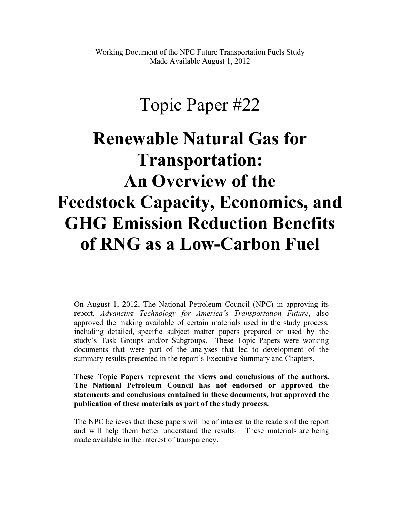# Topic Paper #22

# **Renewable Natural Gas for Transportation: An Overview of the Feedstock Capacity, Economics, and GHG Emission Reduction Benefits of RNG as a Low-Carbon Fuel**

On August 1, 2012, The National Petroleum Council (NPC) in approving its report, *Advancing Technology for America's Transportation Future*, also approved the making available of certain materials used in the study process, including detailed, specific subject matter papers prepared or used by the study's Task Groups and/or Subgroups. These Topic Papers were working documents that were part of the analyses that led to development of the summary results presented in the report's Executive Summary and Chapters.

**These Topic Papers represent the views and conclusions of the authors. The National Petroleum Council has not endorsed or approved the statements and conclusions contained in these documents, but approved the publication of these materials as part of the study process.**

The NPC believes that these papers will be of interest to the readers of the report and will help them better understand the results. These materials are being made available in the interest of transparency.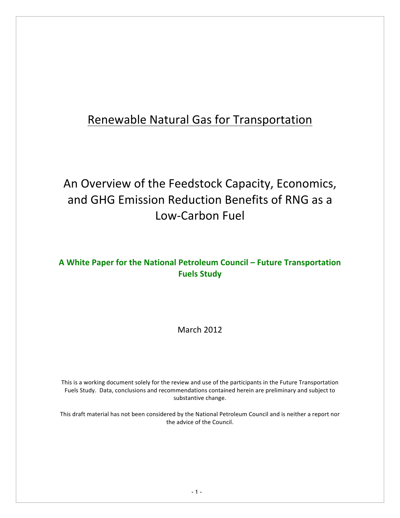# **Renewable Natural Gas for Transportation**

# An Overview of the Feedstock Capacity, Economics, and GHG Emission Reduction Benefits of RNG as a Low-Carbon Fuel

## A White Paper for the National Petroleum Council – Future Transportation **Fuels Study**

#### March 2012

This is a working document solely for the review and use of the participants in the Future Transportation Fuels Study. Data, conclusions and recommendations contained herein are preliminary and subject to substantive change.

This draft material has not been considered by the National Petroleum Council and is neither a report nor the advice of the Council.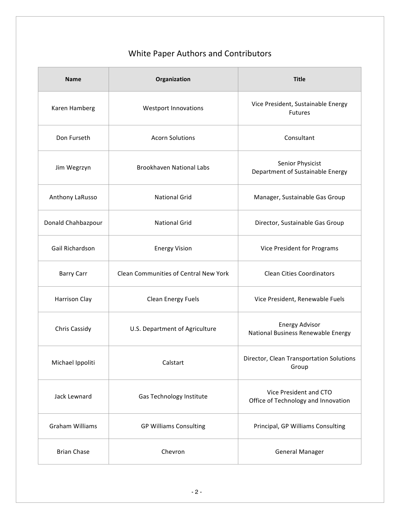# White Paper Authors and Contributors

| <b>Name</b>            | Organization                          | <b>Title</b>                                                  |  |  |
|------------------------|---------------------------------------|---------------------------------------------------------------|--|--|
| Karen Hamberg          | <b>Westport Innovations</b>           | Vice President, Sustainable Energy<br>Futures                 |  |  |
| Don Furseth            | <b>Acorn Solutions</b>                | Consultant                                                    |  |  |
| Jim Wegrzyn            | <b>Brookhaven National Labs</b>       | Senior Physicist<br>Department of Sustainable Energy          |  |  |
| Anthony LaRusso        | <b>National Grid</b>                  | Manager, Sustainable Gas Group                                |  |  |
| Donald Chahbazpour     | <b>National Grid</b>                  | Director, Sustainable Gas Group                               |  |  |
| Gail Richardson        | <b>Energy Vision</b>                  | Vice President for Programs                                   |  |  |
| <b>Barry Carr</b>      | Clean Communities of Central New York | <b>Clean Cities Coordinators</b>                              |  |  |
| <b>Harrison Clay</b>   | Clean Energy Fuels                    | Vice President, Renewable Fuels                               |  |  |
| Chris Cassidy          | U.S. Department of Agriculture        | <b>Energy Advisor</b><br>National Business Renewable Energy   |  |  |
| Michael Ippoliti       | Calstart                              | Director, Clean Transportation Solutions<br>Group             |  |  |
| Jack Lewnard           | Gas Technology Institute              | Vice President and CTO<br>Office of Technology and Innovation |  |  |
| <b>Graham Williams</b> | <b>GP Williams Consulting</b>         | Principal, GP Williams Consulting                             |  |  |
| <b>Brian Chase</b>     | Chevron                               | <b>General Manager</b>                                        |  |  |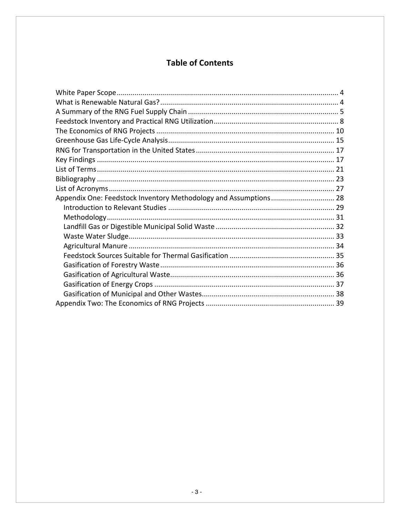# **Table of Contents**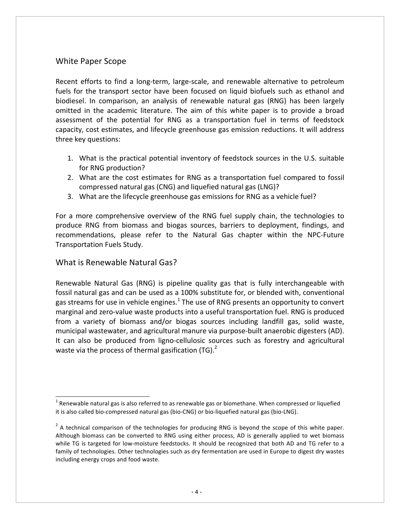#### White Paper Scope

Recent efforts to find a long-term, large-scale, and renewable alternative to petroleum fuels for the transport sector have been focused on liquid biofuels such as ethanol and biodiesel. In comparison, an analysis of renewable natural gas (RNG) has been largely omitted in the academic literature. The aim of this white paper is to provide a broad assessment of the potential for RNG as a transportation fuel in terms of feedstock capacity, cost estimates, and lifecycle greenhouse gas emission reductions. It will address three key questions:

- 1. What is the practical potential inventory of feedstock sources in the U.S. suitable for RNG production?
- 2. What are the cost estimates for RNG as a transportation fuel compared to fossil compressed natural gas (CNG) and liquefied natural gas (LNG)?
- 3. What are the lifecycle greenhouse gas emissions for RNG as a vehicle fuel?

For a more comprehensive overview of the RNG fuel supply chain, the technologies to produce RNG from biomass and biogas sources, barriers to deployment, findings, and recommendations, please refer to the Natural Gas chapter within the NPC-Future Transportation Fuels Study.

#### What is Renewable Natural Gas?

Renewable Natural Gas (RNG) is pipeline quality gas that is fully interchangeable with fossil natural gas and can be used as a 100% substitute for, or blended with, conventional gas streams for use in vehicle engines.<sup>1</sup> The use of RNG presents an opportunity to convert marginal and zero-value waste products into a useful transportation fuel. RNG is produced from a variety of biomass and/or biogas sources including landfill gas, solid waste, municipal wastewater, and agricultural manure via purpose-built anaerobic digesters (AD). It can also be produced from ligno-cellulosic sources such as forestry and agricultural waste via the process of thermal gasification  $(TG)<sup>2</sup>$ 

 $<sup>1</sup>$  Renewable natural gas is also referred to as renewable gas or biomethane. When compressed or liquefied</sup> it is also called bio-compressed natural gas (bio-CNG) or bio-liquefied natural gas (bio-LNG).

 $2$  A technical comparison of the technologies for producing RNG is beyond the scope of this white paper. Although biomass can be converted to RNG using either process, AD is generally applied to wet biomass while TG is targeted for low-moisture feedstocks. It should be recognized that both AD and TG refer to a family of technologies. Other technologies such as dry fermentation are used in Europe to digest dry wastes including energy crops and food waste.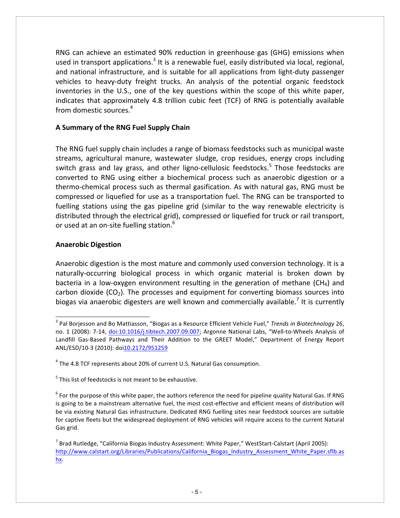RNG can achieve an estimated 90% reduction in greenhouse gas (GHG) emissions when used in transport applications.<sup>3</sup> It is a renewable fuel, easily distributed via local, regional, and national infrastructure, and is suitable for all applications from light-duty passenger vehicles to heavy-duty freight trucks. An analysis of the potential organic feedstock inventories in the U.S., one of the key questions within the scope of this white paper, indicates that approximately 4.8 trillion cubic feet (TCF) of RNG is potentially available from domestic sources.<sup>4</sup>

#### A Summary of the RNG Fuel Supply Chain

The RNG fuel supply chain includes a range of biomass feedstocks such as municipal waste streams, agricultural manure, wastewater sludge, crop residues, energy crops including switch grass and lay grass, and other ligno-cellulosic feedstocks.<sup>5</sup> Those feedstocks are converted to RNG using either a biochemical process such as anaerobic digestion or a thermo-chemical process such as thermal gasification. As with natural gas, RNG must be compressed or liquefied for use as a transportation fuel. The RNG can be transported to fuelling stations using the gas pipeline grid (similar to the way renewable electricity is distributed through the electrical grid), compressed or liquefied for truck or rail transport, or used at an on-site fuelling station.<sup>6</sup>

#### **Anaerobic Digestion**

Anaerobic digestion is the most mature and commonly used conversion technology. It is a naturally-occurring biological process in which organic material is broken down by bacteria in a low-oxygen environment resulting in the generation of methane  $(CH_4)$  and carbon dioxide  $(CO<sub>2</sub>)$ . The processes and equipment for converting biomass sources into biogas via anaerobic digesters are well known and commercially available.<sup>7</sup> It is currently

<sup>&</sup>lt;sup>3</sup> Pal Borjesson and Bo Mattiasson, "Biogas as a Resource Efficient Vehicle Fuel," Trends in Biotechnology 26, no. 1 (2008): 7-14, doi:10.1016/j.tibtech.2007.09.007; Argonne National Labs, "Well-to-Wheels Analysis of Landfill Gas-Based Pathways and Their Addition to the GREET Model," Department of Energy Report ANL/ESD/10-3 (2010): doi10.2172/951259

 $4$  The 4.8 TCF represents about 20% of current U.S. Natural Gas consumption.

 $5$  This list of feedstocks is not meant to be exhaustive.

 $6$  For the purpose of this white paper, the authors reference the need for pipeline quality Natural Gas. If RNG is going to be a mainstream alternative fuel, the most cost-effective and efficient means of distribution will be via existing Natural Gas infrastructure. Dedicated RNG fuelling sites near feedstock sources are suitable for captive fleets but the widespread deployment of RNG vehicles will require access to the current Natural Gas grid.

 $^7$  Brad Rutledge, "California Biogas Industry Assessment: White Paper," WestStart-Calstart (April 2005): http://www.calstart.org/Libraries/Publications/California\_Biogas\_Industry\_Assessment\_White\_Paper.sflb.as hx.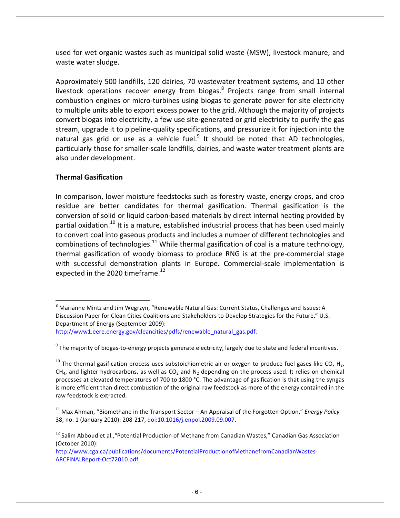used for wet organic wastes such as municipal solid waste (MSW), livestock manure, and waste water sludge.

Approximately 500 landfills, 120 dairies, 70 wastewater treatment systems, and 10 other livestock operations recover energy from biogas. $8$  Projects range from small internal combustion engines or micro-turbines using biogas to generate power for site electricity to multiple units able to export excess power to the grid. Although the majority of projects convert biogas into electricity, a few use site-generated or grid electricity to purify the gas stream, upgrade it to pipeline-quality specifications, and pressurize it for injection into the natural gas grid or use as a vehicle fuel.<sup>9</sup> It should be noted that AD technologies, particularly those for smaller-scale landfills, dairies, and waste water treatment plants are also under development.

#### **Thermal Gasification**

In comparison, lower moisture feedstocks such as forestry waste, energy crops, and crop residue are better candidates for thermal gasification. Thermal gasification is the conversion of solid or liquid carbon-based materials by direct internal heating provided by partial oxidation.<sup>10</sup> It is a mature, established industrial process that has been used mainly to convert coal into gaseous products and includes a number of different technologies and combinations of technologies.<sup>11</sup> While thermal gasification of coal is a mature technology, thermal gasification of woody biomass to produce RNG is at the pre-commercial stage with successful demonstration plants in Europe. Commercial-scale implementation is expected in the 2020 timeframe.<sup>12</sup>

 $^8$  Marianne Mintz and Jim Wegrzyn, "Renewable Natural Gas: Current Status, Challenges and Issues: A Discussion Paper for Clean Cities Coalitions and Stakeholders to Develop Strategies for the Future," U.S. Department of Energy (September 2009): http://www1.eere.energy.gov/cleancities/pdfs/renewable\_natural\_gas.pdf.

 $9$  The majority of biogas-to-energy projects generate electricity, largely due to state and federal incentives.

<sup>&</sup>lt;sup>10</sup> The thermal gasification process uses substoichiometric air or oxygen to produce fuel gases like CO, H<sub>2</sub>, CH<sub>4</sub>, and lighter hydrocarbons, as well as CO<sub>2</sub> and N<sub>2</sub> depending on the process used. It relies on chemical processes at elevated temperatures of 700 to 1800 °C. The advantage of gasification is that using the syngas is more efficient than direct combustion of the original raw feedstock as more of the energy contained in the raw feedstock is extracted.

<sup>&</sup>lt;sup>11</sup> Max Ahman, "Biomethane in the Transport Sector – An Appraisal of the Forgotten Option," *Energy Policy* 38, no. 1 (January 2010): 208-217, doi:10.1016/j.enpol.2009.09.007.

 $12$  Salim Abboud et al.,"Potential Production of Methane from Canadian Wastes," Canadian Gas Association (October 2010): 

http://www.cga.ca/publications/documents/PotentialProductionofMethanefromCanadianWastes-ARCFINALReport-Oct72010.pdf.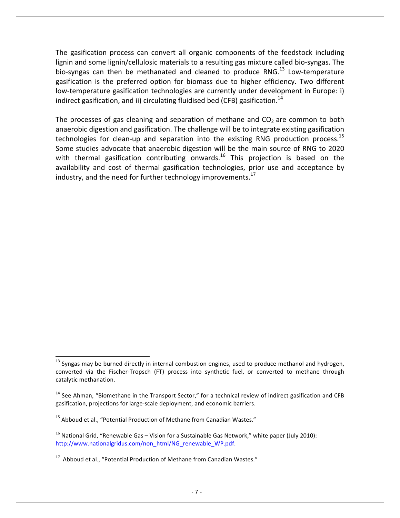The gasification process can convert all organic components of the feedstock including lignin and some lignin/cellulosic materials to a resulting gas mixture called bio-syngas. The bio-syngas can then be methanated and cleaned to produce RNG.<sup>13</sup> Low-temperature gasification is the preferred option for biomass due to higher efficiency. Two different low-temperature gasification technologies are currently under development in Europe: i) indirect gasification, and ii) circulating fluidised bed (CFB) gasification.<sup>14</sup>

The processes of gas cleaning and separation of methane and  $CO<sub>2</sub>$  are common to both anaerobic digestion and gasification. The challenge will be to integrate existing gasification technologies for clean-up and separation into the existing RNG production process.<sup>15</sup> Some studies advocate that anaerobic digestion will be the main source of RNG to 2020 with thermal gasification contributing onwards.<sup>16</sup> This projection is based on the availability and cost of thermal gasification technologies, prior use and acceptance by industry, and the need for further technology improvements. $^{17}$ 

 $13$  Syngas may be burned directly in internal combustion engines, used to produce methanol and hydrogen, converted via the Fischer-Tropsch (FT) process into synthetic fuel, or converted to methane through catalytic methanation.

 $14$  See Ahman, "Biomethane in the Transport Sector," for a technical review of indirect gasification and CFB gasification, projections for large-scale deployment, and economic barriers.

 $15$  Abboud et al., "Potential Production of Methane from Canadian Wastes."

 $16$  National Grid, "Renewable Gas – Vision for a Sustainable Gas Network," white paper (July 2010): http://www.nationalgridus.com/non\_html/NG\_renewable\_WP.pdf.

<sup>&</sup>lt;sup>17</sup> Abboud et al., "Potential Production of Methane from Canadian Wastes."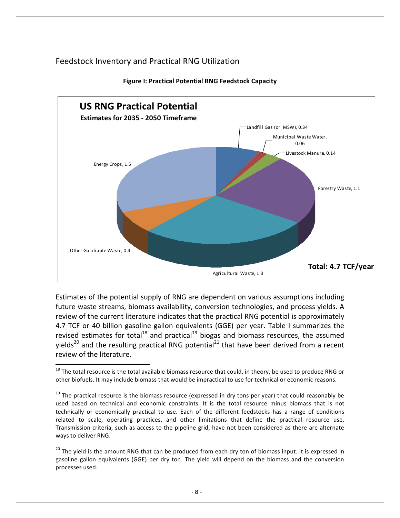#### Feedstock Inventory and Practical RNG Utilization



**Figure I: Practical Potential RNG Feedstock Capacity** 

Estimates of the potential supply of RNG are dependent on various assumptions including future waste streams, biomass availability, conversion technologies, and process yields. A review of the current literature indicates that the practical RNG potential is approximately 4.7 TCF or 40 billion gasoline gallon equivalents (GGE) per year. Table I summarizes the revised estimates for total<sup>18</sup> and practical<sup>19</sup> biogas and biomass resources, the assumed yields<sup>20</sup> and the resulting practical RNG potential<sup>21</sup> that have been derived from a recent review of the literature.

 $18$  The total resource is the total available biomass resource that could, in theory, be used to produce RNG or other biofuels. It may include biomass that would be impractical to use for technical or economic reasons.

 $19$  The practical resource is the biomass resource (expressed in dry tons per year) that could reasonably be used based on technical and economic constraints. It is the total resource minus biomass that is not technically or economically practical to use. Each of the different feedstocks has a range of conditions related to scale, operating practices, and other limitations that define the practical resource use. Transmission criteria, such as access to the pipeline grid, have not been considered as there are alternate ways to deliver RNG.

 $20$  The yield is the amount RNG that can be produced from each dry ton of biomass input. It is expressed in gasoline gallon equivalents (GGE) per dry ton. The yield will depend on the biomass and the conversion processes used.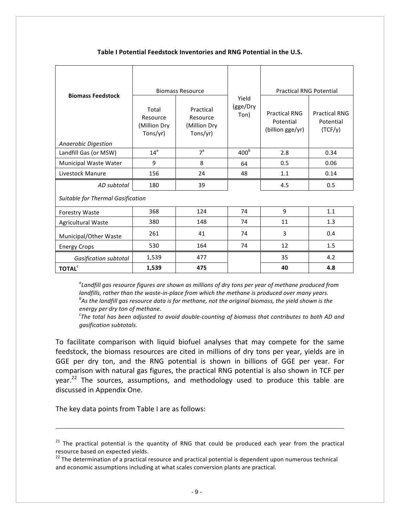| <b>Biomass Feedstock</b>          |                                               | <b>Biomass Resource</b>                           | Yield<br>(gge/Dry<br>Ton) | <b>Practical RNG Potential</b>                        |                                              |
|-----------------------------------|-----------------------------------------------|---------------------------------------------------|---------------------------|-------------------------------------------------------|----------------------------------------------|
|                                   | Total<br>Resource<br>(Million Dry<br>Tons/yr) | Practical<br>Resource<br>(Million Dry<br>Tons/yr) |                           | <b>Practical RNG</b><br>Potential<br>(billion gge/yr) | <b>Practical RNG</b><br>Potential<br>(TCF/y) |
| Anaerobic Digestion               |                                               |                                                   |                           |                                                       |                                              |
| Landfill Gas (or MSW)             | 14 <sup>a</sup>                               | 7 <sup>a</sup>                                    | 400 <sup>b</sup>          | 2.8                                                   | 0.34                                         |
| Municipal Waste Water             | 9                                             | 8                                                 | 64                        | 0.5                                                   | 0.06                                         |
| Livestock Manure                  | 156                                           | 24                                                | 48                        | 1.1                                                   | 0.14                                         |
| AD subtotal                       | 180                                           | 39                                                |                           | 4.5                                                   | 0.5                                          |
| Suitable for Thermal Gasification |                                               |                                                   |                           |                                                       |                                              |
| <b>Forestry Waste</b>             | 368                                           | 124                                               | 74                        | 9                                                     | 1.1                                          |
| Agricultural Waste                | 380                                           | 148                                               | 74                        | 11                                                    | 1.3                                          |
| Municipal/Other Waste             | 261                                           | 41                                                | 74                        | 3                                                     | 0.4                                          |
| <b>Energy Crops</b>               | 530                                           | 164                                               | 74                        | 12                                                    | 1.5                                          |
| Gasification subtotal             | 1,539                                         | 477                                               |                           | 35                                                    | 4.2                                          |
| <b>TOTAL</b> <sup>c</sup>         | 1,539                                         | 475                                               |                           | 40                                                    | 4.8                                          |

#### **Table I Potential Feedstock Inventories and RNG Potential in the U.S.**

<sup>a</sup>Landfill gas resource figures are shown as millions of dry tons per year of methane produced from *landfills, rather than the waste-in-place from which the methane is produced over many years.* <sup>*b*</sup>As the landfill gas resource data is for methane, not the original biomass, the yield shown is the *energy per dry ton of methane.*

 $^c$ The total has been adjusted to avoid double-counting of biomass that contributes to both AD and *gasification subtotals.*

To facilitate comparison with liquid biofuel analyses that may compete for the same feedstock, the biomass resources are cited in millions of dry tons per year, yields are in GGE per dry ton, and the RNG potential is shown in billions of GGE per year. For comparison with natural gas figures, the practical RNG potential is also shown in TCF per year.<sup>22</sup> The sources, assumptions, and methodology used to produce this table are discussed in Appendix One.

The key data points from Table I are as follows:

 $\overline{a}$ 

 $21$  The practical potential is the quantity of RNG that could be produced each year from the practical resource based on expected yields.

 $22$  The determination of a practical resource and practical potential is dependent upon numerous technical and economic assumptions including at what scales conversion plants are practical.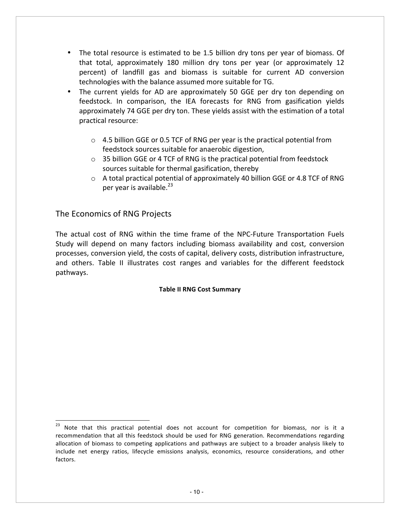- The total resource is estimated to be 1.5 billion dry tons per year of biomass. Of that total, approximately 180 million dry tons per year (or approximately 12 percent) of landfill gas and biomass is suitable for current AD conversion technologies with the balance assumed more suitable for TG.
- The current yields for AD are approximately 50 GGE per dry ton depending on feedstock. In comparison, the IEA forecasts for RNG from gasification yields approximately 74 GGE per dry ton. These yields assist with the estimation of a total practical resource:
	- $\circ$  4.5 billion GGE or 0.5 TCF of RNG per year is the practical potential from feedstock sources suitable for anaerobic digestion,
	- $\circ$  35 billion GGE or 4 TCF of RNG is the practical potential from feedstock sources suitable for thermal gasification, thereby
	- $\circ$  A total practical potential of approximately 40 billion GGE or 4.8 TCF of RNG per vear is available. $^{23}$

#### The Economics of RNG Projects

The actual cost of RNG within the time frame of the NPC-Future Transportation Fuels Study will depend on many factors including biomass availability and cost, conversion processes, conversion yield, the costs of capital, delivery costs, distribution infrastructure, and others. Table II illustrates cost ranges and variables for the different feedstock pathways.

#### **Table II RNG Cost Summary**

<sup>&</sup>lt;sup>23</sup> Note that this practical potential does not account for competition for biomass, nor is it a recommendation that all this feedstock should be used for RNG generation. Recommendations regarding allocation of biomass to competing applications and pathways are subject to a broader analysis likely to include net energy ratios, lifecycle emissions analysis, economics, resource considerations, and other factors.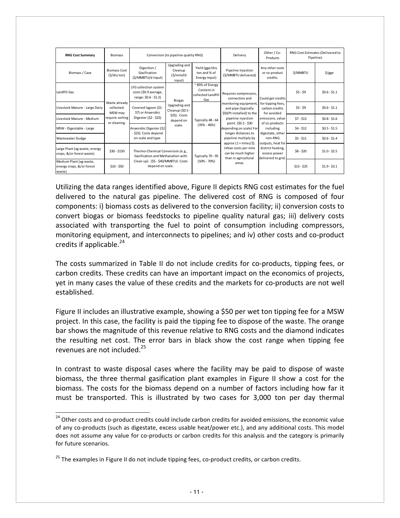| <b>RNG Cost Summary</b>                                        | <b>Biomass</b>                               | Conversion (to pipeline quality RNG)                                    |                                                                | Delivery                                                  | Other / Co-<br>Products                                                                        |                                                                              | RNG Cost Estimates (Delivered to<br>Pipeline) |                        |                                                                           |                                                    |           |               |                                                                        |                               |            |               |  |  |  |  |  |  |  |  |                   |                    |                                    |            |
|----------------------------------------------------------------|----------------------------------------------|-------------------------------------------------------------------------|----------------------------------------------------------------|-----------------------------------------------------------|------------------------------------------------------------------------------------------------|------------------------------------------------------------------------------|-----------------------------------------------|------------------------|---------------------------------------------------------------------------|----------------------------------------------------|-----------|---------------|------------------------------------------------------------------------|-------------------------------|------------|---------------|--|--|--|--|--|--|--|--|-------------------|--------------------|------------------------------------|------------|
| Biomass / Case                                                 | <b>Biomass Cost</b><br>$(S/dry \text{ ton})$ | Digestion /<br>Gasification<br>(\$/MMBTU/d input)                       | Upgrading and<br>Cleanup<br>(\$/mmcfd<br>input)                | Yield (gge/dry<br>ton and % of<br>Energy Input)           | Pipeline Injection<br>(\$/MMBTU delivered)                                                     | Any other costs<br>or co-product<br>credits.                                 | <b><i>S/MMBTU</i></b>                         | $\frac{5}{\text{gge}}$ |                                                                           |                                                    |           |               |                                                                        |                               |            |               |  |  |  |  |  |  |  |  |                   |                    |                                    |            |
| Landfill Gas                                                   |                                              | LFG collection system<br>costs (\$0.9 average,<br>range: \$0.6 - \$1.2) | <b>Biogas</b>                                                  | ~85% of Energy<br>Content in<br>collected Landfill<br>Gas | Requires compressors,<br>connection and                                                        | Could get credits                                                            | $$5 - $9$                                     | $$0.6 - $1.1$          |                                                                           |                                                    |           |               |                                                                        |                               |            |               |  |  |  |  |  |  |  |  |                   |                    |                                    |            |
| Livestock Manure - Large Dairy                                 | Waste already<br>collected.<br>MSW may       | Covered lagoon (\$1-<br>\$7) or Anaerobic                               | Upgrading and<br>Cleanup (\$0.5 -<br>\$25). Costs<br>depend on | scale.                                                    |                                                                                                |                                                                              |                                               |                        | monitoring equipment,<br>and pipe (typically<br>\$50/ft installed) to the | for tipping fees,<br>carbon credits<br>for avoided | $$5 - $9$ | $$0.6 - $1.1$ |                                                                        |                               |            |               |  |  |  |  |  |  |  |  |                   |                    |                                    |            |
| Livestock Manure - Medium                                      | require sorting<br>or cleaning.              | Digester (\$2 - \$25)                                                   |                                                                |                                                           |                                                                                                |                                                                              |                                               |                        |                                                                           |                                                    |           |               |                                                                        |                               |            |               |  |  |  |  |  |  |  |  | Typically 48 - 64 | pipeline injection | emissions, value<br>of co-products | $$7 - $13$ |
| MSW - Digestable - Large                                       |                                              | Anaerobic Digester (\$2                                                 | - \$25) Costs depend                                           |                                                           |                                                                                                |                                                                              |                                               |                        |                                                                           |                                                    |           | $(35% - 46%)$ | point. (\$0.2 - \$30<br>depending on scale) For<br>longer distances to | including<br>digestate, other | $$4 - $12$ | $$0.5 - $1.5$ |  |  |  |  |  |  |  |  |                   |                    |                                    |            |
| Wastewater Sludge                                              |                                              | on scale and type.                                                      |                                                                |                                                           |                                                                                                |                                                                              | pipeline multiply by                          | non-RNG                | $$5 - $11$                                                                | $$0.6 - $1.4$$                                     |           |               |                                                                        |                               |            |               |  |  |  |  |  |  |  |  |                   |                    |                                    |            |
| Large Plant (ag waste, energy<br>crops, &/or forest waste)     | $$30 - $150$                                 | Thermo-Chemical Conversion (e.g.,<br>Gasification and Methanation with  |                                                                | Typically 70 - 95<br>$(50\% - 70\%)$                      | approx $(1 + miles/2)$ .<br>Urban costs per mile<br>can be much higher<br>than in agricultural | outputs, heat for<br>district heating.<br>excess power<br>delivered to grid. | $$8 - $20$                                    | $$1.0 - $2.5$          |                                                                           |                                                    |           |               |                                                                        |                               |            |               |  |  |  |  |  |  |  |  |                   |                    |                                    |            |
| Medium Plant (ag waste,<br>energy crops, &/or forest<br>waste) | $$10 - $50$                                  | Clean up) (\$5 - \$40/MMBTU) Costs<br>depend on scale.                  |                                                                |                                                           |                                                                                                |                                                                              | areas.                                        |                        | $$15 - $25$                                                               | $$1.9 - $3.1$                                      |           |               |                                                                        |                               |            |               |  |  |  |  |  |  |  |  |                   |                    |                                    |            |

Utilizing the data ranges identified above, Figure II depicts RNG cost estimates for the fuel delivered to the natural gas pipeline. The delivered cost of RNG is composed of four components: i) biomass costs as delivered to the conversion facility; ii) conversion costs to convert biogas or biomass feedstocks to pipeline quality natural gas; iii) delivery costs associated with transporting the fuel to point of consumption including compressors, monitoring equipment, and interconnects to pipelines; and iv) other costs and co-product credits if applicable. $24$ 

The costs summarized in Table II do not include credits for co-products, tipping fees, or carbon credits. These credits can have an important impact on the economics of projects, yet in many cases the value of these credits and the markets for co-products are not well established. 

Figure II includes an illustrative example, showing a \$50 per wet ton tipping fee for a MSW project. In this case, the facility is paid the tipping fee to dispose of the waste. The orange bar shows the magnitude of this revenue relative to RNG costs and the diamond indicates the resulting net cost. The error bars in black show the cost range when tipping fee revenues are not included. $25$ 

In contrast to waste disposal cases where the facility may be paid to dispose of waste biomass, the three thermal gasification plant examples in Figure II show a cost for the biomass. The costs for the biomass depend on a number of factors including how far it must be transported. This is illustrated by two cases for 3,000 ton per day thermal

<sup>&</sup>lt;sup>24</sup> Other costs and co-product credits could include carbon credits for avoided emissions, the economic value of any co-products (such as digestate, excess usable heat/power etc.), and any additional costs. This model does not assume any value for co-products or carbon credits for this analysis and the category is primarily for future scenarios.

 $^{25}$  The examples in Figure II do not include tipping fees, co-product credits, or carbon credits.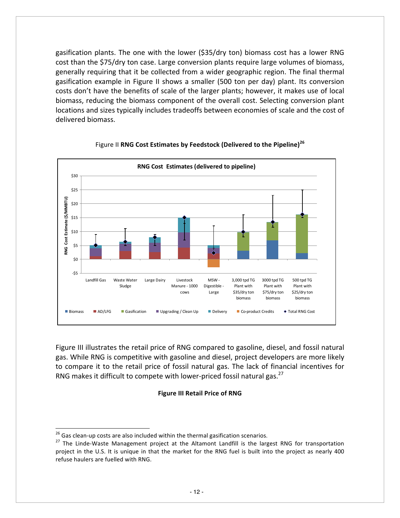gasification plants. The one with the lower (\$35/dry ton) biomass cost has a lower RNG cost than the \$75/dry ton case. Large conversion plants require large volumes of biomass, generally requiring that it be collected from a wider geographic region. The final thermal gasification example in Figure II shows a smaller (500 ton per day) plant. Its conversion costs don't have the benefits of scale of the larger plants; however, it makes use of local biomass, reducing the biomass component of the overall cost. Selecting conversion plant locations and sizes typically includes tradeoffs between economies of scale and the cost of delivered biomass.



#### Figure II **RNG Cost Estimates by Feedstock (Delivered to the Pipeline)<sup>26</sup>**

Figure III illustrates the retail price of RNG compared to gasoline, diesel, and fossil natural gas. While RNG is competitive with gasoline and diesel, project developers are more likely to compare it to the retail price of fossil natural gas. The lack of financial incentives for RNG makes it difficult to compete with lower-priced fossil natural gas. $27$ 

#### **Figure III Retail Price of RNG**

<sup>&</sup>lt;sup>26</sup> Gas clean-up costs are also included within the thermal gasification scenarios.<br><sup>27</sup> The Linde-Waste Management project at the Altamont Landfill is the largest RNG for transportation project in the U.S. It is unique in that the market for the RNG fuel is built into the project as nearly 400 refuse haulers are fuelled with RNG.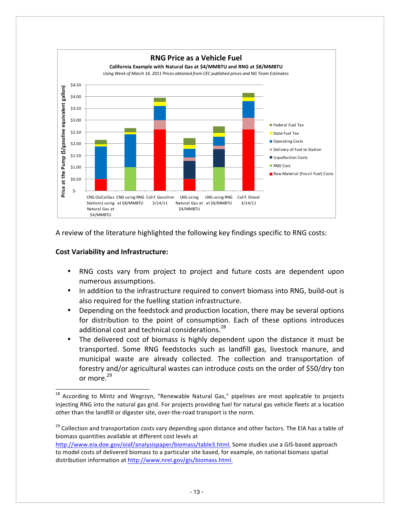

A review of the literature highlighted the following key findings specific to RNG costs:

#### **Cost Variability and Infrastructure:**

- RNG costs vary from project to project and future costs are dependent upon numerous assumptions.
- In addition to the infrastructure required to convert biomass into RNG, build-out is also required for the fuelling station infrastructure.
- Depending on the feedstock and production location, there may be several options for distribution to the point of consumption. Each of these options introduces additional cost and technical considerations.<sup>28</sup>
- The delivered cost of biomass is highly dependent upon the distance it must be transported. Some RNG feedstocks such as landfill gas, livestock manure, and municipal waste are already collected. The collection and transportation of forestry and/or agricultural wastes can introduce costs on the order of \$50/dry ton or more.<sup>29</sup>

 $28$  According to Mintz and Wegrzyn, "Renewable Natural Gas," pipelines are most applicable to projects injecting RNG into the natural gas grid. For projects providing fuel for natural gas vehicle fleets at a location other than the landfill or digester site, over-the-road transport is the norm.

<sup>&</sup>lt;sup>29</sup> Collection and transportation costs vary depending upon distance and other factors. The EIA has a table of biomass quantities available at different cost levels at

http://www.eia.doe.gov/oiaf/analysispaper/biomass/table3.html. Some studies use a GIS-based approach to model costs of delivered biomass to a particular site based, for example, on national biomass spatial distribution information at http://www.nrel.gov/gis/biomass.html.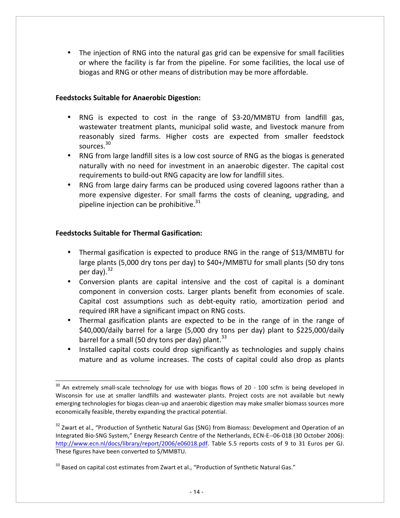The injection of RNG into the natural gas grid can be expensive for small facilities or where the facility is far from the pipeline. For some facilities, the local use of biogas and RNG or other means of distribution may be more affordable.

#### **Feedstocks Suitable for Anaerobic Digestion:**

- RNG is expected to cost in the range of \$3-20/MMBTU from landfill gas, wastewater treatment plants, municipal solid waste, and livestock manure from reasonably sized farms. Higher costs are expected from smaller feedstock sources.<sup>30</sup>
- RNG from large landfill sites is a low cost source of RNG as the biogas is generated naturally with no need for investment in an anaerobic digester. The capital cost requirements to build-out RNG capacity are low for landfill sites.
- RNG from large dairy farms can be produced using covered lagoons rather than a more expensive digester. For small farms the costs of cleaning, upgrading, and pipeline injection can be prohibitive. $31$

#### **Feedstocks Suitable for Thermal Gasification:**

- Thermal gasification is expected to produce RNG in the range of \$13/MMBTU for large plants (5,000 dry tons per day) to \$40+/MMBTU for small plants (50 dry tons per day). $32$
- Conversion plants are capital intensive and the cost of capital is a dominant component in conversion costs. Larger plants benefit from economies of scale. Capital cost assumptions such as debt-equity ratio, amortization period and required IRR have a significant impact on RNG costs.
- Thermal gasification plants are expected to be in the range of in the range of \$40,000/daily barrel for a large (5,000 dry tons per day) plant to \$225,000/daily barrel for a small (50 dry tons per day) plant. $^{33}$
- Installed capital costs could drop significantly as technologies and supply chains mature and as volume increases. The costs of capital could also drop as plants

 $30$  An extremely small-scale technology for use with biogas flows of 20 - 100 scfm is being developed in Wisconsin for use at smaller landfills and wastewater plants. Project costs are not available but newly emerging technologies for biogas clean-up and anaerobic digestion may make smaller biomass sources more economically feasible, thereby expanding the practical potential.

 $32$  Zwart et al., "Production of Synthetic Natural Gas (SNG) from Biomass: Development and Operation of an Integrated Bio-SNG System," Energy Research Centre of the Netherlands, ECN-E--06-018 (30 October 2006): http://www.ecn.nl/docs/library/report/2006/e06018.pdf. Table 5.5 reports costs of 9 to 31 Euros per GJ. These figures have been converted to \$/MMBTU.

 $33$  Based on capital cost estimates from Zwart et al., "Production of Synthetic Natural Gas."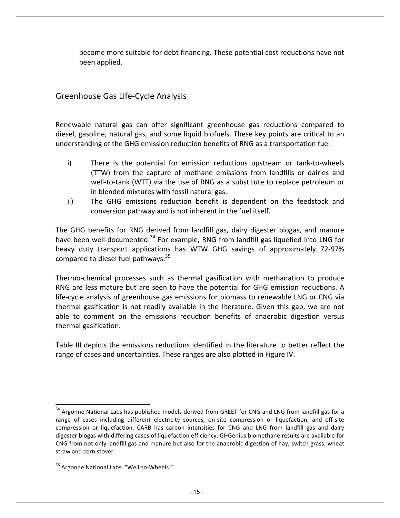become more suitable for debt financing. These potential cost reductions have not been applied. 

Greenhouse Gas Life-Cycle Analysis 

Renewable natural gas can offer significant greenhouse gas reductions compared to diesel, gasoline, natural gas, and some liquid biofuels. These key points are critical to an understanding of the GHG emission reduction benefits of RNG as a transportation fuel:

- i) There is the potential for emission reductions upstream or tank-to-wheels (TTW) from the capture of methane emissions from landfills or dairies and well-to-tank (WTT) via the use of RNG as a substitute to replace petroleum or in blended mixtures with fossil natural gas.
- ii) The GHG emissions reduction benefit is dependent on the feedstock and conversion pathway and is not inherent in the fuel itself.

The GHG benefits for RNG derived from landfill gas, dairy digester biogas, and manure have been well-documented.<sup>34</sup> For example, RNG from landfill gas liquefied into LNG for heavy duty transport applications has WTW GHG savings of approximately 72-97% compared to diesel fuel pathways. $35$ 

Thermo-chemical processes such as thermal gasification with methanation to produce RNG are less mature but are seen to have the potential for GHG emission reductions. A life-cycle analysis of greenhouse gas emissions for biomass to renewable LNG or CNG via thermal gasification is not readily available in the literature. Given this gap, we are not able to comment on the emissions reduction benefits of anaerobic digestion versus thermal gasification.

Table III depicts the emissions reductions identified in the literature to better reflect the range of cases and uncertainties. These ranges are also plotted in Figure IV.

 $34$  Argonne National Labs has published models derived from GREET for CNG and LNG from landfill gas for a range of cases including different electricity sources, on-site compression or liquefaction, and off-site compression or liquefaction. CARB has carbon intensities for CNG and LNG from landfill gas and dairy digester biogas with differing cases of liquefaction efficiency. GHGenius biomethane results are available for CNG from not only landfill gas and manure but also for the anaerobic digestion of hay, switch grass, wheat straw and corn stover.

<sup>&</sup>lt;sup>35</sup> Argonne National Labs, "Well-to-Wheels."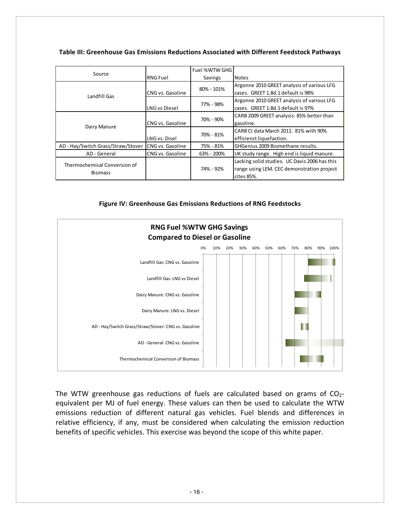|                                    |                   | Fuel %WTW GHG |                                               |  |
|------------------------------------|-------------------|---------------|-----------------------------------------------|--|
| Source                             | <b>RNG Fuel</b>   | Savings       | <b>Notes</b>                                  |  |
|                                    |                   | 80% - 101%    | Argonne 2010 GREET analysis of various LFG    |  |
| Landfill Gas                       | CNG vs. Gasoline  |               | cases. GREET 1.8d.1 default is 98%            |  |
|                                    |                   | 77% - 98%     | Argonne 2010 GREET analysis of various LFG    |  |
|                                    | LNG vs Diesel     |               | cases. GREET 1.8d.1 default is 97%            |  |
|                                    |                   | 70% - 90%     | CARB 2009 GREET analysis: 85% better than     |  |
| Dairy Manure                       | CNG vs. Gasoline  |               | gasoline.                                     |  |
|                                    |                   | 70% - 81%     | CARB CI data March 2011. 81% with 90%         |  |
|                                    | LNG vs. Disel     |               | efficienct liquefaction.                      |  |
| AD - Hay/Switch Grass/Straw/Stover | ICNG vs. Gasoline | 75% - 81%     | GHGenius 2009 Biomethane results.             |  |
| AD - General                       | CNG vs. Gasoline  | 63% - 200%    | UK study range. High end is liquid manure.    |  |
| Thermochemical Conversion of       |                   |               | Lacking solid studies. UC Davis 2006 has this |  |
| <b>Biomass</b>                     |                   | 74% - 92%     | range using LEM. CEC demonstration project    |  |
|                                    |                   |               | cites 85%.                                    |  |

Table III: Greenhouse Gas Emissions Reductions Associated with Different Feedstock Pathways

**Figure IV: Greenhouse Gas Emissions Reductions of RNG Feedstocks** 



The WTW greenhouse gas reductions of fuels are calculated based on grams of  $CO<sub>2</sub>$ equivalent per MJ of fuel energy. These values can then be used to calculate the WTW emissions reduction of different natural gas vehicles. Fuel blends and differences in relative efficiency, if any, must be considered when calculating the emission reduction benefits of specific vehicles. This exercise was beyond the scope of this white paper.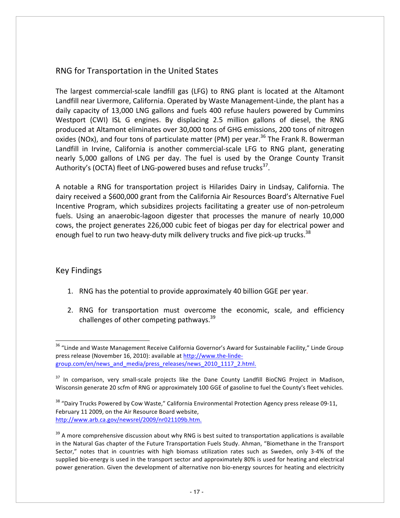### RNG for Transportation in the United States

The largest commercial-scale landfill gas (LFG) to RNG plant is located at the Altamont Landfill near Livermore, California. Operated by Waste Management-Linde, the plant has a daily capacity of 13,000 LNG gallons and fuels 400 refuse haulers powered by Cummins Westport (CWI) ISL G engines. By displacing 2.5 million gallons of diesel, the RNG produced at Altamont eliminates over 30,000 tons of GHG emissions, 200 tons of nitrogen oxides (NOx), and four tons of particulate matter (PM) per year.<sup>36</sup> The Frank R. Bowerman Landfill in Irvine, California is another commercial-scale LFG to RNG plant, generating nearly 5,000 gallons of LNG per day. The fuel is used by the Orange County Transit Authority's (OCTA) fleet of LNG-powered buses and refuse trucks<sup>37</sup>.

A notable a RNG for transportation project is Hilarides Dairy in Lindsay, California. The dairy received a \$600,000 grant from the California Air Resources Board's Alternative Fuel Incentive Program, which subsidizes projects facilitating a greater use of non-petroleum fuels. Using an anaerobic-lagoon digester that processes the manure of nearly 10,000 cows, the project generates 226,000 cubic feet of biogas per day for electrical power and enough fuel to run two heavy-duty milk delivery trucks and five pick-up trucks.<sup>38</sup>

#### Key Findings

- 1. RNG has the potential to provide approximately 40 billion GGE per year.
- 2. RNG for transportation must overcome the economic, scale, and efficiency challenges of other competing pathways.  $39$

<sup>&</sup>lt;sup>36</sup> "Linde and Waste Management Receive California Governor's Award for Sustainable Facility," Linde Group press release (November 16, 2010): available at http://www.the-lindegroup.com/en/news\_and\_media/press\_releases/news\_2010\_1117\_2.html.

 $37$  In comparison, very small-scale projects like the Dane County Landfill BioCNG Project in Madison, Wisconsin generate 20 scfm of RNG or approximately 100 GGE of gasoline to fuel the County's fleet vehicles.

<sup>&</sup>lt;sup>38</sup> "Dairy Trucks Powered by Cow Waste," California Environmental Protection Agency press release 09-11, February 11 2009, on the Air Resource Board website, http://www.arb.ca.gov/newsrel/2009/nr021109b.htm.

 $39$  A more comprehensive discussion about why RNG is best suited to transportation applications is available in the Natural Gas chapter of the Future Transportation Fuels Study. Ahman, "Biomethane in the Transport Sector," notes that in countries with high biomass utilization rates such as Sweden, only 3-4% of the supplied bio-energy is used in the transport sector and approximately 80% is used for heating and electrical power generation. Given the development of alternative non bio-energy sources for heating and electricity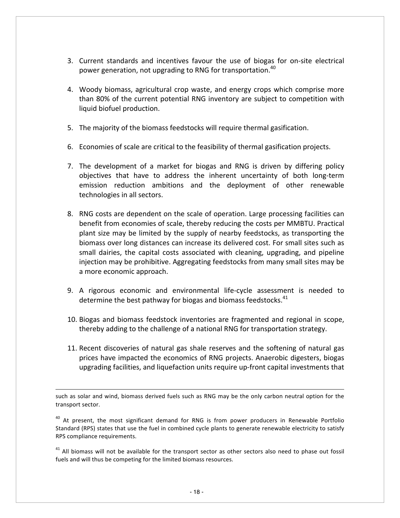- 3. Current standards and incentives favour the use of biogas for on-site electrical power generation, not upgrading to RNG for transportation.<sup>40</sup>
- 4. Woody biomass, agricultural crop waste, and energy crops which comprise more than 80% of the current potential RNG inventory are subject to competition with liquid biofuel production.
- 5. The majority of the biomass feedstocks will require thermal gasification.
- 6. Economies of scale are critical to the feasibility of thermal gasification projects.
- 7. The development of a market for biogas and RNG is driven by differing policy objectives that have to address the inherent uncertainty of both long-term emission reduction ambitions and the deployment of other renewable technologies in all sectors.
- 8. RNG costs are dependent on the scale of operation. Large processing facilities can benefit from economies of scale, thereby reducing the costs per MMBTU. Practical plant size may be limited by the supply of nearby feedstocks, as transporting the biomass over long distances can increase its delivered cost. For small sites such as small dairies, the capital costs associated with cleaning, upgrading, and pipeline injection may be prohibitive. Aggregating feedstocks from many small sites may be a more economic approach.
- 9. A rigorous economic and environmental life-cycle assessment is needed to determine the best pathway for biogas and biomass feedstocks. $41$
- 10. Biogas and biomass feedstock inventories are fragmented and regional in scope, thereby adding to the challenge of a national RNG for transportation strategy.
- 11. Recent discoveries of natural gas shale reserves and the softening of natural gas prices have impacted the economics of RNG projects. Anaerobic digesters, biogas upgrading facilities, and liquefaction units require up-front capital investments that

such as solar and wind, biomass derived fuels such as RNG may be the only carbon neutral option for the transport sector.

 $\overline{a}$ 

 $40$  At present, the most significant demand for RNG is from power producers in Renewable Portfolio Standard (RPS) states that use the fuel in combined cycle plants to generate renewable electricity to satisfy RPS compliance requirements.

 $41$  All biomass will not be available for the transport sector as other sectors also need to phase out fossil fuels and will thus be competing for the limited biomass resources.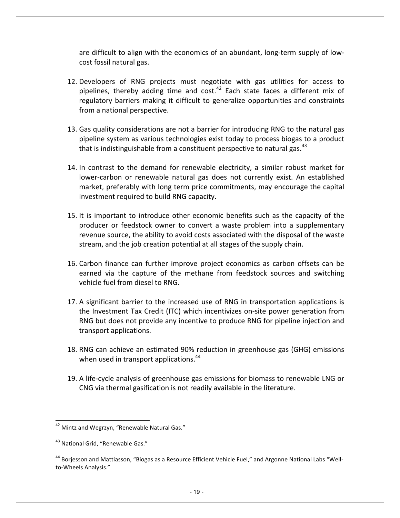are difficult to align with the economics of an abundant, long-term supply of lowcost fossil natural gas.

- 12. Developers of RNG projects must negotiate with gas utilities for access to pipelines, thereby adding time and  $cost^{42}$  Each state faces a different mix of regulatory barriers making it difficult to generalize opportunities and constraints from a national perspective.
- 13. Gas quality considerations are not a barrier for introducing RNG to the natural gas pipeline system as various technologies exist today to process biogas to a product that is indistinguishable from a constituent perspective to natural gas. $43$
- 14. In contrast to the demand for renewable electricity, a similar robust market for lower-carbon or renewable natural gas does not currently exist. An established market, preferably with long term price commitments, may encourage the capital investment required to build RNG capacity.
- 15. It is important to introduce other economic benefits such as the capacity of the producer or feedstock owner to convert a waste problem into a supplementary revenue source, the ability to avoid costs associated with the disposal of the waste stream, and the job creation potential at all stages of the supply chain.
- 16. Carbon finance can further improve project economics as carbon offsets can be earned via the capture of the methane from feedstock sources and switching vehicle fuel from diesel to RNG.
- 17. A significant barrier to the increased use of RNG in transportation applications is the Investment Tax Credit (ITC) which incentivizes on-site power generation from RNG but does not provide any incentive to produce RNG for pipeline injection and transport applications.
- 18. RNG can achieve an estimated 90% reduction in greenhouse gas (GHG) emissions when used in transport applications.<sup>44</sup>
- 19. A life-cycle analysis of greenhouse gas emissions for biomass to renewable LNG or CNG via thermal gasification is not readily available in the literature.

Mintz and Wegrzyn, "Renewable Natural Gas."

<sup>&</sup>lt;sup>43</sup> National Grid, "Renewable Gas."

<sup>&</sup>lt;sup>44</sup> Borjesson and Mattiasson, "Biogas as a Resource Efficient Vehicle Fuel," and Argonne National Labs "Wellto-Wheels Analysis."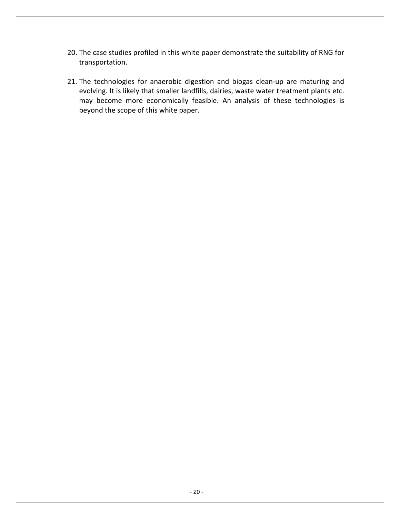- 20. The case studies profiled in this white paper demonstrate the suitability of RNG for transportation.
- 21. The technologies for anaerobic digestion and biogas clean-up are maturing and evolving. It is likely that smaller landfills, dairies, waste water treatment plants etc. may become more economically feasible. An analysis of these technologies is beyond the scope of this white paper.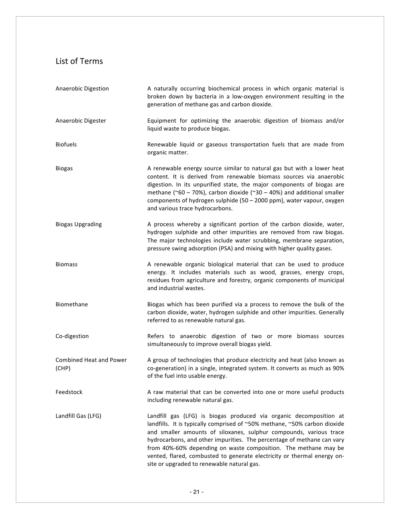# List of Terms

| Anaerobic Digestion                     | A naturally occurring biochemical process in which organic material is<br>broken down by bacteria in a low-oxygen environment resulting in the<br>generation of methane gas and carbon dioxide.                                                                                                                                                                                                                                                                                             |  |  |  |
|-----------------------------------------|---------------------------------------------------------------------------------------------------------------------------------------------------------------------------------------------------------------------------------------------------------------------------------------------------------------------------------------------------------------------------------------------------------------------------------------------------------------------------------------------|--|--|--|
| Anaerobic Digester                      | Equipment for optimizing the anaerobic digestion of biomass and/or<br>liquid waste to produce biogas.                                                                                                                                                                                                                                                                                                                                                                                       |  |  |  |
| <b>Biofuels</b>                         | Renewable liquid or gaseous transportation fuels that are made from<br>organic matter.                                                                                                                                                                                                                                                                                                                                                                                                      |  |  |  |
| <b>Biogas</b>                           | A renewable energy source similar to natural gas but with a lower heat<br>content. It is derived from renewable biomass sources via anaerobic<br>digestion. In its unpurified state, the major components of biogas are<br>methane ( $\degree$ 60 - 70%), carbon dioxide ( $\degree$ 30 - 40%) and additional smaller<br>components of hydrogen sulphide (50 - 2000 ppm), water vapour, oxygen<br>and various trace hydrocarbons.                                                           |  |  |  |
| <b>Biogas Upgrading</b>                 | A process whereby a significant portion of the carbon dioxide, water,<br>hydrogen sulphide and other impurities are removed from raw biogas.<br>The major technologies include water scrubbing, membrane separation,<br>pressure swing adsorption (PSA) and mixing with higher quality gases.                                                                                                                                                                                               |  |  |  |
| <b>Biomass</b>                          | A renewable organic biological material that can be used to produce<br>energy. It includes materials such as wood, grasses, energy crops,<br>residues from agriculture and forestry, organic components of municipal<br>and industrial wastes.                                                                                                                                                                                                                                              |  |  |  |
| Biomethane                              | Biogas which has been purified via a process to remove the bulk of the<br>carbon dioxide, water, hydrogen sulphide and other impurities. Generally<br>referred to as renewable natural gas.                                                                                                                                                                                                                                                                                                 |  |  |  |
| Co-digestion                            | Refers to anaerobic digestion of two or more biomass sources<br>simultaneously to improve overall biogas yield.                                                                                                                                                                                                                                                                                                                                                                             |  |  |  |
| <b>Combined Heat and Power</b><br>(CHP) | A group of technologies that produce electricity and heat (also known as<br>co-generation) in a single, integrated system. It converts as much as 90%<br>of the fuel into usable energy.                                                                                                                                                                                                                                                                                                    |  |  |  |
| Feedstock                               | A raw material that can be converted into one or more useful products<br>including renewable natural gas.                                                                                                                                                                                                                                                                                                                                                                                   |  |  |  |
| Landfill Gas (LFG)                      | Landfill gas (LFG) is biogas produced via organic decomposition at<br>landfills. It is typically comprised of ~50% methane, ~50% carbon dioxide<br>and smaller amounts of siloxanes, sulphur compounds, various trace<br>hydrocarbons, and other impurities. The percentage of methane can vary<br>from 40%-60% depending on waste composition. The methane may be<br>vented, flared, combusted to generate electricity or thermal energy on-<br>site or upgraded to renewable natural gas. |  |  |  |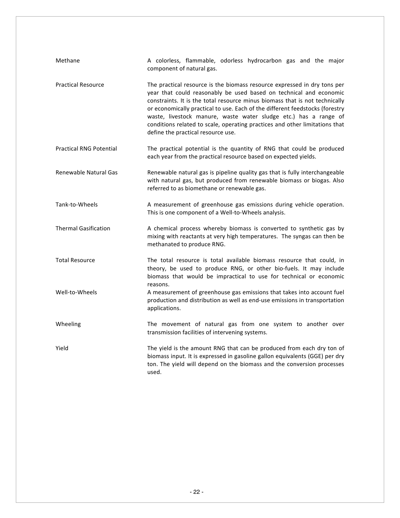| Methane                        | A colorless, flammable, odorless hydrocarbon gas and the major<br>component of natural gas.                                                                                                                                                                                                                                                                                                                                                                                                            |  |  |  |  |  |  |  |  |
|--------------------------------|--------------------------------------------------------------------------------------------------------------------------------------------------------------------------------------------------------------------------------------------------------------------------------------------------------------------------------------------------------------------------------------------------------------------------------------------------------------------------------------------------------|--|--|--|--|--|--|--|--|
| <b>Practical Resource</b>      | The practical resource is the biomass resource expressed in dry tons per<br>year that could reasonably be used based on technical and economic<br>constraints. It is the total resource minus biomass that is not technically<br>or economically practical to use. Each of the different feedstocks (forestry<br>waste, livestock manure, waste water sludge etc.) has a range of<br>conditions related to scale, operating practices and other limitations that<br>define the practical resource use. |  |  |  |  |  |  |  |  |
| <b>Practical RNG Potential</b> | The practical potential is the quantity of RNG that could be produced<br>each year from the practical resource based on expected yields.                                                                                                                                                                                                                                                                                                                                                               |  |  |  |  |  |  |  |  |
| Renewable Natural Gas          | Renewable natural gas is pipeline quality gas that is fully interchangeable<br>with natural gas, but produced from renewable biomass or biogas. Also<br>referred to as biomethane or renewable gas.                                                                                                                                                                                                                                                                                                    |  |  |  |  |  |  |  |  |
| Tank-to-Wheels                 | A measurement of greenhouse gas emissions during vehicle operation.<br>This is one component of a Well-to-Wheels analysis.                                                                                                                                                                                                                                                                                                                                                                             |  |  |  |  |  |  |  |  |
| <b>Thermal Gasification</b>    | A chemical process whereby biomass is converted to synthetic gas by<br>mixing with reactants at very high temperatures. The syngas can then be<br>methanated to produce RNG.                                                                                                                                                                                                                                                                                                                           |  |  |  |  |  |  |  |  |
| <b>Total Resource</b>          | The total resource is total available biomass resource that could, in<br>theory, be used to produce RNG, or other bio-fuels. It may include<br>biomass that would be impractical to use for technical or economic<br>reasons.                                                                                                                                                                                                                                                                          |  |  |  |  |  |  |  |  |
| Well-to-Wheels                 | A measurement of greenhouse gas emissions that takes into account fuel<br>production and distribution as well as end-use emissions in transportation<br>applications.                                                                                                                                                                                                                                                                                                                                  |  |  |  |  |  |  |  |  |
| Wheeling                       | The movement of natural gas from one system to another over<br>transmission facilities of intervening systems.                                                                                                                                                                                                                                                                                                                                                                                         |  |  |  |  |  |  |  |  |
| Yield                          | The yield is the amount RNG that can be produced from each dry ton of<br>biomass input. It is expressed in gasoline gallon equivalents (GGE) per dry<br>ton. The yield will depend on the biomass and the conversion processes<br>used.                                                                                                                                                                                                                                                                |  |  |  |  |  |  |  |  |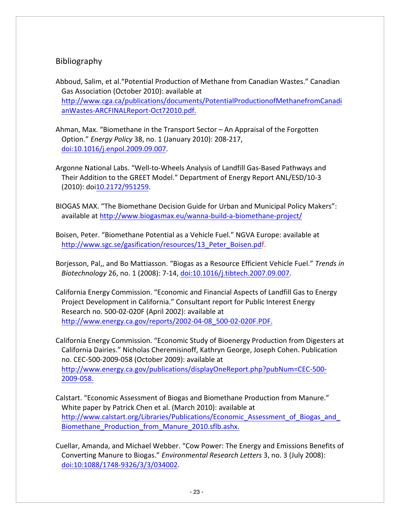### Bibliography

- Abboud, Salim, et al. "Potential Production of Methane from Canadian Wastes." Canadian Gas Association (October 2010): available at http://www.cga.ca/publications/documents/PotentialProductionofMethanefromCanadi anWastes-ARCFINALReport-Oct72010.pdf.
- Ahman, Max. "Biomethane in the Transport Sector  $-$  An Appraisal of the Forgotten Option." *Energy Policy* 38, no. 1 (January 2010): 208-217, doi:10.1016/j.enpol.2009.09.007.
- Argonne National Labs. "Well-to-Wheels Analysis of Landfill Gas-Based Pathways and Their Addition to the GREET Model." Department of Energy Report ANL/ESD/10-3 (2010): doi10.2172/951259.
- BIOGAS MAX. "The Biomethane Decision Guide for Urban and Municipal Policy Makers": available at http://www.biogasmax.eu/wanna-build-a-biomethane-project/
- Boisen, Peter. "Biomethane Potential as a Vehicle Fuel." NGVA Europe: available at http://www.sgc.se/gasification/resources/13 Peter Boisen.pdf.

Borjesson, Pal,, and Bo Mattiasson. "Biogas as a Resource Efficient Vehicle Fuel." Trends in *Biotechnology* 26, no. 1 (2008): 7-14, doi:10.1016/j.tibtech.2007.09.007.

California Energy Commission. "Economic and Financial Aspects of Landfill Gas to Energy Project Development in California." Consultant report for Public Interest Energy Research no. 500-02-020F (April 2002): available at http://www.energy.ca.gov/reports/2002-04-08\_500-02-020F.PDF.

California Energy Commission. "Economic Study of Bioenergy Production from Digesters at California Dairies." Nicholas Cheremisinoff, Kathryn George, Joseph Cohen. Publication no. CEC-500-2009-058 (October 2009): available at http://www.energy.ca.gov/publications/displayOneReport.php?pubNum=CEC-500- 2009-058.

- Calstart. "Economic Assessment of Biogas and Biomethane Production from Manure." White paper by Patrick Chen et al. (March 2010): available at http://www.calstart.org/Libraries/Publications/Economic Assessment of Biogas and Biomethane Production from Manure 2010.sflb.ashx.
- Cuellar, Amanda, and Michael Webber. "Cow Power: The Energy and Emissions Benefits of Converting Manure to Biogas." *Environmental Research Letters* 3, no. 3 (July 2008): doi:10:1088/1748-9326/3/3/034002.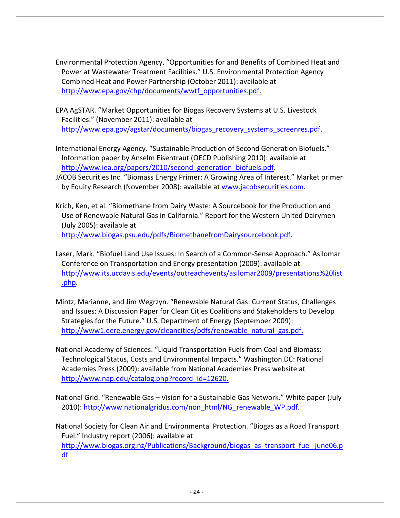Environmental Protection Agency. "Opportunities for and Benefits of Combined Heat and Power at Wastewater Treatment Facilities." U.S. Environmental Protection Agency Combined Heat and Power Partnership (October 2011): available at http://www.epa.gov/chp/documents/wwtf\_opportunities.pdf.

EPA AgSTAR. "Market Opportunities for Biogas Recovery Systems at U.S. Livestock Facilities." (November 2011): available at http://www.epa.gov/agstar/documents/biogas\_recovery\_systems\_screenres.pdf.

International Energy Agency. "Sustainable Production of Second Generation Biofuels." Information paper by Anselm Eisentraut (OECD Publishing 2010): available at http://www.iea.org/papers/2010/second generation biofuels.pdf.

JACOB Securities Inc. "Biomass Energy Primer: A Growing Area of Interest." Market primer by Equity Research (November 2008): available at www.jacobsecurities.com.

Krich, Ken, et al. "Biomethane from Dairy Waste: A Sourcebook for the Production and Use of Renewable Natural Gas in California." Report for the Western United Dairymen (July 2005): available at http://www.biogas.psu.edu/pdfs/BiomethanefromDairysourcebook.pdf.

Laser, Mark. "Biofuel Land Use Issues: In Search of a Common-Sense Approach." Asilomar Conference on Transportation and Energy presentation (2009): available at http://www.its.ucdavis.edu/events/outreachevents/asilomar2009/presentations%20list .php.

Mintz, Marianne, and Jim Wegrzyn. "Renewable Natural Gas: Current Status, Challenges and Issues: A Discussion Paper for Clean Cities Coalitions and Stakeholders to Develop Strategies for the Future." U.S. Department of Energy (September 2009): http://www1.eere.energy.gov/cleancities/pdfs/renewable\_natural\_gas.pdf.

National Academy of Sciences. "Liquid Transportation Fuels from Coal and Biomass: Technological Status, Costs and Environmental Impacts." Washington DC: National Academies Press (2009): available from National Academies Press website at http://www.nap.edu/catalog.php?record\_id=12620.

National Grid. "Renewable Gas - Vision for a Sustainable Gas Network." White paper (July 2010): http://www.nationalgridus.com/non\_html/NG\_renewable\_WP.pdf.

National Society for Clean Air and Environmental Protection. "Biogas as a Road Transport Fuel." Industry report (2006): available at http://www.biogas.org.nz/Publications/Background/biogas as transport fuel june06.p df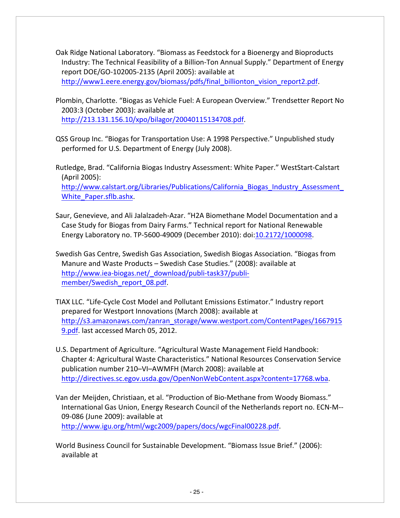Oak Ridge National Laboratory. "Biomass as Feedstock for a Bioenergy and Bioproducts Industry: The Technical Feasibility of a Billion-Ton Annual Supply." Department of Energy report DOE/GO-102005-2135 (April 2005): available at http://www1.eere.energy.gov/biomass/pdfs/final\_billionton\_vision\_report2.pdf.

Plombin, Charlotte. "Biogas as Vehicle Fuel: A European Overview." Trendsetter Report No 2003:3 (October 2003): available at http://213.131.156.10/xpo/bilagor/20040115134708.pdf.

QSS Group Inc. "Biogas for Transportation Use: A 1998 Perspective." Unpublished study performed for U.S. Department of Energy (July 2008).

Rutledge, Brad. "California Biogas Industry Assessment: White Paper." WestStart-Calstart (April 2005): 

http://www.calstart.org/Libraries/Publications/California\_Biogas\_Industry\_Assessment White Paper.sflb.ashx.

Saur, Genevieve, and Ali Jalalzadeh-Azar. "H2A Biomethane Model Documentation and a Case Study for Biogas from Dairy Farms." Technical report for National Renewable Energy Laboratory no. TP-5600-49009 (December 2010): doi:10.2172/1000098.

Swedish Gas Centre, Swedish Gas Association, Swedish Biogas Association. "Biogas from Manure and Waste Products - Swedish Case Studies." (2008): available at http://www.iea-biogas.net/\_download/publi-task37/publimember/Swedish\_report\_08.pdf.

TIAX LLC. "Life-Cycle Cost Model and Pollutant Emissions Estimator." Industry report prepared for Westport Innovations (March 2008): available at http://s3.amazonaws.com/zanran\_storage/www.westport.com/ContentPages/1667915 9.pdf. last accessed March 05, 2012.

U.S. Department of Agriculture. "Agricultural Waste Management Field Handbook: Chapter 4: Agricultural Waste Characteristics." National Resources Conservation Service publication number 210-VI-AWMFH (March 2008): available at http://directives.sc.egov.usda.gov/OpenNonWebContent.aspx?content=17768.wba.

Van der Meijden, Christiaan, et al. "Production of Bio-Methane from Woody Biomass." International Gas Union, Energy Research Council of the Netherlands report no. ECN-M--09-086 (June 2009): available at http://www.igu.org/html/wgc2009/papers/docs/wgcFinal00228.pdf.

World Business Council for Sustainable Development. "Biomass Issue Brief." (2006): available at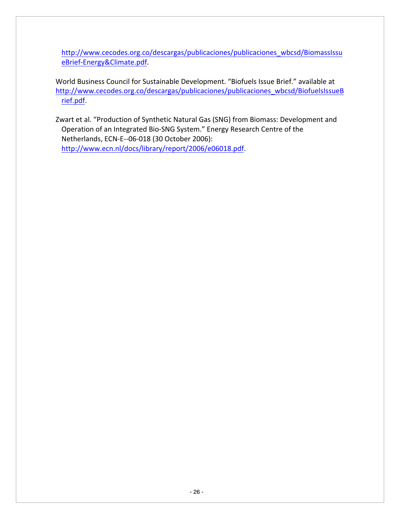http://www.cecodes.org.co/descargas/publicaciones/publicaciones\_wbcsd/BiomassIssu eBrief-Energy&Climate.pdf.

World Business Council for Sustainable Development. "Biofuels Issue Brief." available at http://www.cecodes.org.co/descargas/publicaciones/publicaciones\_wbcsd/BiofuelsIssueB rief.pdf.

Zwart et al. "Production of Synthetic Natural Gas (SNG) from Biomass: Development and Operation of an Integrated Bio-SNG System." Energy Research Centre of the Netherlands, ECN-E--06-018 (30 October 2006): http://www.ecn.nl/docs/library/report/2006/e06018.pdf.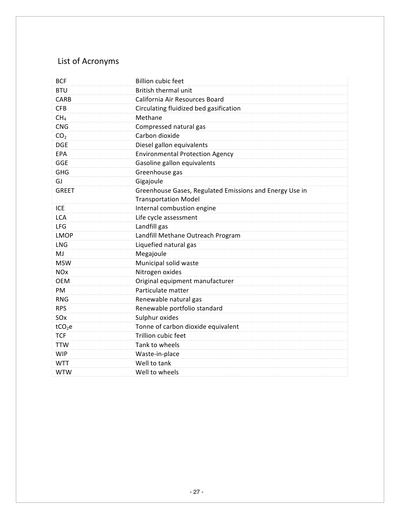# List of Acronyms

| <b>BCF</b>            | <b>Billion cubic feet</b>                               |
|-----------------------|---------------------------------------------------------|
| <b>BTU</b>            | British thermal unit                                    |
| <b>CARB</b>           | California Air Resources Board                          |
| <b>CFB</b>            | Circulating fluidized bed gasification                  |
| CH <sub>4</sub>       | Methane                                                 |
| <b>CNG</b>            | Compressed natural gas                                  |
| CO <sub>2</sub>       | Carbon dioxide                                          |
| <b>DGE</b>            | Diesel gallon equivalents                               |
| EPA                   | <b>Environmental Protection Agency</b>                  |
| GGE                   | Gasoline gallon equivalents                             |
| <b>GHG</b>            | Greenhouse gas                                          |
| GJ                    | Gigajoule                                               |
| <b>GREET</b>          | Greenhouse Gases, Regulated Emissions and Energy Use in |
|                       | <b>Transportation Model</b>                             |
| <b>ICE</b>            | Internal combustion engine                              |
| <b>LCA</b>            | Life cycle assessment                                   |
| <b>LFG</b>            | Landfill gas                                            |
| <b>LMOP</b>           | Landfill Methane Outreach Program                       |
| <b>LNG</b>            | Liquefied natural gas                                   |
| MJ                    | Megajoule                                               |
| <b>MSW</b>            | Municipal solid waste                                   |
| <b>NO<sub>x</sub></b> | Nitrogen oxides                                         |
| <b>OEM</b>            | Original equipment manufacturer                         |
| PM                    | Particulate matter                                      |
| <b>RNG</b>            | Renewable natural gas                                   |
| <b>RPS</b>            | Renewable portfolio standard                            |
| SOx                   | Sulphur oxides                                          |
| tCO <sub>2</sub> e    | Tonne of carbon dioxide equivalent                      |
| <b>TCF</b>            | Trillion cubic feet                                     |
| <b>TTW</b>            | Tank to wheels                                          |
| <b>WIP</b>            | Waste-in-place                                          |
| <b>WTT</b>            | Well to tank                                            |
| <b>WTW</b>            | Well to wheels                                          |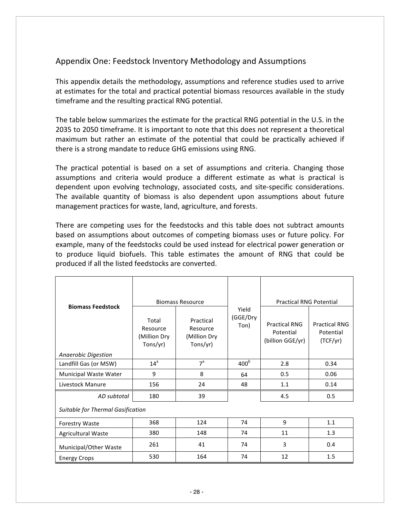### Appendix One: Feedstock Inventory Methodology and Assumptions

This appendix details the methodology, assumptions and reference studies used to arrive at estimates for the total and practical potential biomass resources available in the study timeframe and the resulting practical RNG potential.

The table below summarizes the estimate for the practical RNG potential in the U.S. in the 2035 to 2050 timeframe. It is important to note that this does not represent a theoretical maximum but rather an estimate of the potential that could be practically achieved if there is a strong mandate to reduce GHG emissions using RNG.

The practical potential is based on a set of assumptions and criteria. Changing those assumptions and criteria would produce a different estimate as what is practical is dependent upon evolving technology, associated costs, and site-specific considerations. The available quantity of biomass is also dependent upon assumptions about future management practices for waste, land, agriculture, and forests.

There are competing uses for the feedstocks and this table does not subtract amounts based on assumptions about outcomes of competing biomass uses or future policy. For example, many of the feedstocks could be used instead for electrical power generation or to produce liquid biofuels. This table estimates the amount of RNG that could be produced if all the listed feedstocks are converted.

|                                   |                                               | <b>Biomass Resource</b>                           |                           | <b>Practical RNG Potential</b>                        |                                               |
|-----------------------------------|-----------------------------------------------|---------------------------------------------------|---------------------------|-------------------------------------------------------|-----------------------------------------------|
| <b>Biomass Feedstock</b>          | Total<br>Resource<br>(Million Dry<br>Tons/yr) | Practical<br>Resource<br>(Million Dry<br>Tons/yr) | Yield<br>(GGE/Dry<br>Ton) | <b>Practical RNG</b><br>Potential<br>(billion GGE/yr) | <b>Practical RNG</b><br>Potential<br>(TCF/yr) |
| <b>Anaerobic Digestion</b>        |                                               |                                                   |                           |                                                       |                                               |
| Landfill Gas (or MSW)             | 14 <sup>a</sup>                               | 7 <sup>a</sup>                                    | 400 <sup>b</sup>          | 2.8                                                   | 0.34                                          |
| Municipal Waste Water             | 9                                             | 8                                                 | 64                        | 0.5                                                   | 0.06                                          |
| Livestock Manure                  | 156                                           | 24                                                | 48                        | 1.1                                                   | 0.14                                          |
| AD subtotal                       | 180                                           | 39                                                |                           | 4.5                                                   | 0.5                                           |
| Suitable for Thermal Gasification |                                               |                                                   |                           |                                                       |                                               |
| <b>Forestry Waste</b>             | 368                                           | 124                                               | 74                        | 9                                                     | 1.1                                           |
| <b>Agricultural Waste</b>         | 380                                           | 148                                               | 74                        | 11                                                    | 1.3                                           |
| Municipal/Other Waste             | 261                                           | 41                                                | 74                        | 3                                                     | 0.4                                           |
| <b>Energy Crops</b>               | 530                                           | 164                                               | 74                        | 12                                                    | 1.5                                           |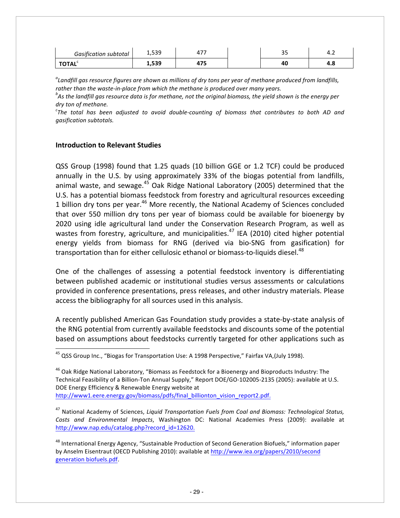| <b>Gasification subtotal</b> | 1,539               | . | J - | $T \cdot L$ |
|------------------------------|---------------------|---|-----|-------------|
| ΤΟΤΑΙ՝                       | <b>EDO</b><br>1,333 | . | 40  | .с          |

<sup>a</sup>Landfill gas resource figures are shown as millions of dry tons per year of methane produced from landfills, rather than the waste-in-place from which the methane is produced over many years.

 $^b$ As the landfill gas resource data is for methane, not the original biomass, the yield shown is the energy per *dry ton of methane.*

*c* The total has been adjusted to avoid double-counting of biomass that contributes to both AD and *gasification subtotals.*

#### **Introduction to Relevant Studies**

QSS Group (1998) found that 1.25 quads (10 billion GGE or 1.2 TCF) could be produced annually in the U.S. by using approximately 33% of the biogas potential from landfills, animal waste, and sewage.<sup>45</sup> Oak Ridge National Laboratory (2005) determined that the U.S. has a potential biomass feedstock from forestry and agricultural resources exceeding 1 billion dry tons per year.<sup>46</sup> More recently, the National Academy of Sciences concluded that over 550 million dry tons per year of biomass could be available for bioenergy by 2020 using idle agricultural land under the Conservation Research Program, as well as wastes from forestry, agriculture, and municipalities.<sup>47</sup> IEA (2010) cited higher potential energy vields from biomass for RNG (derived via bio-SNG from gasification) for transportation than for either cellulosic ethanol or biomass-to-liquids diesel.<sup>48</sup>

One of the challenges of assessing a potential feedstock inventory is differentiating between published academic or institutional studies versus assessments or calculations provided in conference presentations, press releases, and other industry materials. Please access the bibliography for all sources used in this analysis.

A recently published American Gas Foundation study provides a state-by-state analysis of the RNG potential from currently available feedstocks and discounts some of the potential based on assumptions about feedstocks currently targeted for other applications such as

 $45$  QSS Group Inc., "Biogas for Transportation Use: A 1998 Perspective," Fairfax VA,(July 1998).

<sup>&</sup>lt;sup>46</sup> Oak Ridge National Laboratory, "Biomass as Feedstock for a Bioenergy and Bioproducts Industry: The Technical Feasibility of a Billion-Ton Annual Supply," Report DOE/GO-102005-2135 (2005): available at U.S. DOE Energy Efficiency & Renewable Energy website at http://www1.eere.energy.gov/biomass/pdfs/final\_billionton\_vision\_report2.pdf.

<sup>&</sup>lt;sup>47</sup> National Academy of Sciences, Liquid Transportation Fuels from Coal and Biomass: Technological Status, Costs and Environmental Impacts, Washington DC: National Academies Press (2009): available at http://www.nap.edu/catalog.php?record\_id=12620.

<sup>&</sup>lt;sup>48</sup> International Energy Agency, "Sustainable Production of Second Generation Biofuels," information paper by Anselm Eisentraut (OECD Publishing 2010): available at http://www.iea.org/papers/2010/second generation biofuels.pdf.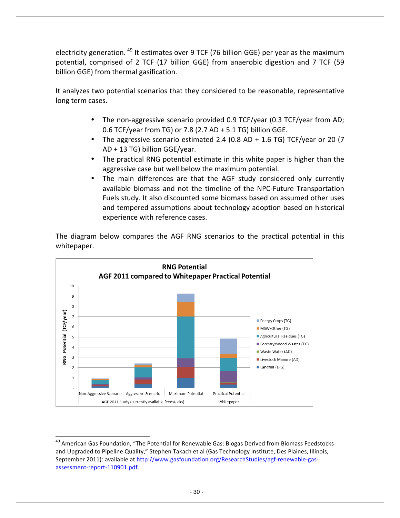electricity generation.  $49$  It estimates over 9 TCF (76 billion GGE) per year as the maximum potential, comprised of 2 TCF (17 billion GGE) from anaerobic digestion and 7 TCF (59 billion GGE) from thermal gasification.

It analyzes two potential scenarios that they considered to be reasonable, representative long term cases.

- The non-aggressive scenario provided 0.9 TCF/year  $(0.3$  TCF/year from AD;  $0.6$  TCF/year from TG) or 7.8 (2.7 AD + 5.1 TG) billion GGE.
- The aggressive scenario estimated 2.4 (0.8 AD + 1.6 TG) TCF/year or 20 (7  $AD + 13$  TG) billion GGE/year.
- The practical RNG potential estimate in this white paper is higher than the aggressive case but well below the maximum potential.
- The main differences are that the AGF study considered only currently available biomass and not the timeline of the NPC-Future Transportation Fuels study. It also discounted some biomass based on assumed other uses and tempered assumptions about technology adoption based on historical experience with reference cases.

The diagram below compares the AGF RNG scenarios to the practical potential in this whitepaper. 



<sup>&</sup>lt;sup>49</sup> American Gas Foundation, "The Potential for Renewable Gas: Biogas Derived from Biomass Feedstocks and Upgraded to Pipeline Quality," Stephen Takach et al (Gas Technology Institute, Des Plaines, Illinois, September 2011): available at http://www.gasfoundation.org/ResearchStudies/agf-renewable-gasassessment-report-110901.pdf.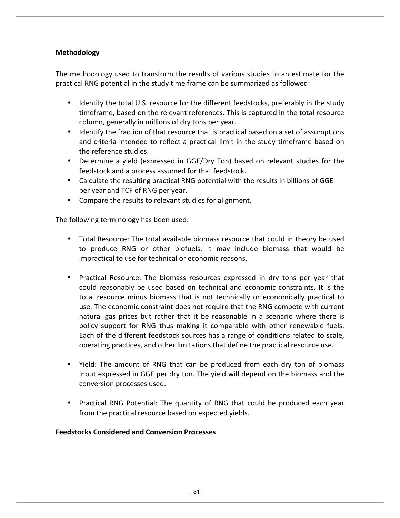#### **Methodology**

The methodology used to transform the results of various studies to an estimate for the practical RNG potential in the study time frame can be summarized as followed:

- Identify the total U.S. resource for the different feedstocks, preferably in the study timeframe, based on the relevant references. This is captured in the total resource column, generally in millions of dry tons per year.
- Identify the fraction of that resource that is practical based on a set of assumptions and criteria intended to reflect a practical limit in the study timeframe based on the reference studies.
- Determine a yield (expressed in GGE/Dry Ton) based on relevant studies for the feedstock and a process assumed for that feedstock.
- Calculate the resulting practical RNG potential with the results in billions of GGE per year and TCF of RNG per year.
- Compare the results to relevant studies for alignment.

The following terminology has been used:

- Total Resource: The total available biomass resource that could in theory be used to produce RNG or other biofuels. It may include biomass that would be impractical to use for technical or economic reasons.
- Practical Resource: The biomass resources expressed in dry tons per year that could reasonably be used based on technical and economic constraints. It is the total resource minus biomass that is not technically or economically practical to use. The economic constraint does not require that the RNG compete with current natural gas prices but rather that it be reasonable in a scenario where there is policy support for RNG thus making it comparable with other renewable fuels. Each of the different feedstock sources has a range of conditions related to scale, operating practices, and other limitations that define the practical resource use.
- Yield: The amount of RNG that can be produced from each dry ton of biomass input expressed in GGE per dry ton. The yield will depend on the biomass and the conversion processes used.
- Practical RNG Potential: The quantity of RNG that could be produced each year from the practical resource based on expected yields.

#### **Feedstocks Considered and Conversion Processes**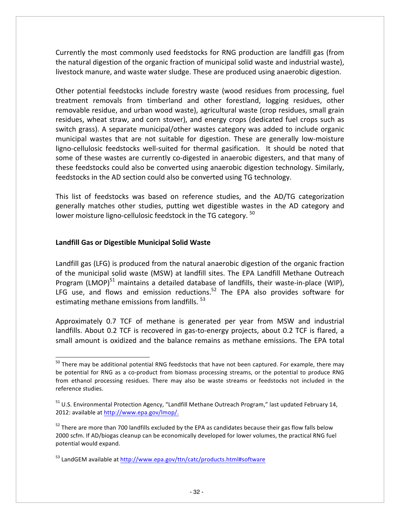Currently the most commonly used feedstocks for RNG production are landfill gas (from the natural digestion of the organic fraction of municipal solid waste and industrial waste), livestock manure, and waste water sludge. These are produced using anaerobic digestion.

Other potential feedstocks include forestry waste (wood residues from processing, fuel treatment removals from timberland and other forestland, logging residues, other removable residue, and urban wood waste), agricultural waste (crop residues, small grain residues, wheat straw, and corn stover), and energy crops (dedicated fuel crops such as switch grass). A separate municipal/other wastes category was added to include organic municipal wastes that are not suitable for digestion. These are generally low-moisture ligno-cellulosic feedstocks well-suited for thermal gasification. It should be noted that some of these wastes are currently co-digested in anaerobic digesters, and that many of these feedstocks could also be converted using anaerobic digestion technology. Similarly, feedstocks in the AD section could also be converted using TG technology.

This list of feedstocks was based on reference studies, and the AD/TG categorization generally matches other studies, putting wet digestible wastes in the AD category and lower moisture ligno-cellulosic feedstock in the TG category.<sup>50</sup>

#### **Landfill Gas or Digestible Municipal Solid Waste**

Landfill gas (LFG) is produced from the natural anaerobic digestion of the organic fraction of the municipal solid waste (MSW) at landfill sites. The EPA Landfill Methane Outreach Program (LMOP) $51$  maintains a detailed database of landfills, their waste-in-place (WIP), LFG use, and flows and emission reductions.<sup>52</sup> The EPA also provides software for estimating methane emissions from landfills.<sup>53</sup>

Approximately 0.7 TCF of methane is generated per year from MSW and industrial landfills. About 0.2 TCF is recovered in gas-to-energy projects, about 0.2 TCF is flared, a small amount is oxidized and the balance remains as methane emissions. The EPA total

 $50$  There may be additional potential RNG feedstocks that have not been captured. For example, there may be potential for RNG as a co-product from biomass processing streams, or the potential to produce RNG from ethanol processing residues. There may also be waste streams or feedstocks not included in the reference studies.

<sup>&</sup>lt;sup>51</sup> U.S. Environmental Protection Agency, "Landfill Methane Outreach Program," last updated February 14, 2012: available at http://www.epa.gov/lmop/.

 $52$  There are more than 700 landfills excluded by the EPA as candidates because their gas flow falls below 2000 scfm. If AD/biogas cleanup can be economically developed for lower volumes, the practical RNG fuel potential would expand.

 $53$  LandGEM available at http://www.epa.gov/ttn/catc/products.html#software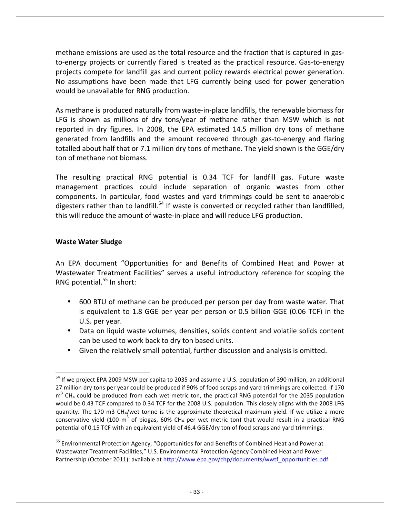methane emissions are used as the total resource and the fraction that is captured in gasto-energy projects or currently flared is treated as the practical resource. Gas-to-energy projects compete for landfill gas and current policy rewards electrical power generation. No assumptions have been made that LFG currently being used for power generation would be unavailable for RNG production.

As methane is produced naturally from waste-in-place landfills, the renewable biomass for LFG is shown as millions of dry tons/year of methane rather than MSW which is not reported in dry figures. In 2008, the EPA estimated 14.5 million dry tons of methane generated from landfills and the amount recovered through gas-to-energy and flaring totalled about half that or 7.1 million dry tons of methane. The yield shown is the GGE/dry ton of methane not biomass.

The resulting practical RNG potential is 0.34 TCF for landfill gas. Future waste management practices could include separation of organic wastes from other components. In particular, food wastes and yard trimmings could be sent to anaerobic digesters rather than to landfill.<sup>54</sup> If waste is converted or recycled rather than landfilled, this will reduce the amount of waste-in-place and will reduce LFG production.

#### **Waste Water Sludge**

An EPA document "Opportunities for and Benefits of Combined Heat and Power at Wastewater Treatment Facilities" serves a useful introductory reference for scoping the RNG potential. $55$  In short:

- 600 BTU of methane can be produced per person per day from waste water. That is equivalent to 1.8 GGE per year per person or 0.5 billion GGE (0.06 TCF) in the U.S. per year.
- Data on liquid waste volumes, densities, solids content and volatile solids content can be used to work back to dry ton based units.
- Given the relatively small potential, further discussion and analysis is omitted.

 $54$  If we project EPA 2009 MSW per capita to 2035 and assume a U.S. population of 390 million, an additional 27 million dry tons per year could be produced if 90% of food scraps and yard trimmings are collected. If 170  $m<sup>3</sup>$  CH<sub>4</sub> could be produced from each wet metric ton, the practical RNG potential for the 2035 population would be 0.43 TCF compared to 0.34 TCF for the 2008 U.S. population. This closely aligns with the 2008 LFG quantity. The 170 m3  $CH<sub>a</sub>/wet$  tonne is the approximate theoretical maximum yield. If we utilize a more conservative yield (100 m<sup>3</sup> of biogas, 60% CH<sub>4</sub> per wet metric ton) that would result in a practical RNG potential of 0.15 TCF with an equivalent yield of 46.4 GGE/dry ton of food scraps and yard trimmings.

<sup>55</sup> Environmental Protection Agency, "Opportunities for and Benefits of Combined Heat and Power at Wastewater Treatment Facilities," U.S. Environmental Protection Agency Combined Heat and Power Partnership (October 2011): available at http://www.epa.gov/chp/documents/wwtf\_opportunities.pdf.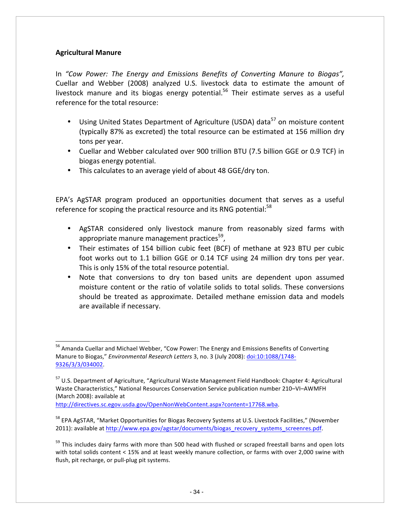#### **Agricultural Manure**

In "Cow Power: The Energy and Emissions Benefits of Converting Manure to Biogas", Cuellar and Webber (2008) analyzed U.S. livestock data to estimate the amount of livestock manure and its biogas energy potential.<sup>56</sup> Their estimate serves as a useful reference for the total resource:

- Using United States Department of Agriculture (USDA) data<sup>57</sup> on moisture content (typically 87% as excreted) the total resource can be estimated at 156 million dry tons per year.
- Cuellar and Webber calculated over 900 trillion BTU (7.5 billion GGE or 0.9 TCF) in biogas energy potential.
- This calculates to an average yield of about 48 GGE/dry ton.

EPA's AgSTAR program produced an opportunities document that serves as a useful reference for scoping the practical resource and its RNG potential:<sup>58</sup>

- AgSTAR considered only livestock manure from reasonably sized farms with appropriate manure management practices $59$ ,
- Their estimates of 154 billion cubic feet (BCF) of methane at 923 BTU per cubic foot works out to 1.1 billion GGE or 0.14 TCF using 24 million dry tons per year. This is only 15% of the total resource potential.
- Note that conversions to dry ton based units are dependent upon assumed moisture content or the ratio of volatile solids to total solids. These conversions should be treated as approximate. Detailed methane emission data and models are available if necessary.

http://directives.sc.egov.usda.gov/OpenNonWebContent.aspx?content=17768.wba.

<sup>&</sup>lt;sup>56</sup> Amanda Cuellar and Michael Webber, "Cow Power: The Energy and Emissions Benefits of Converting Manure to Biogas," *Environmental Research Letters* 3, no. 3 (July 2008): doi:10:1088/1748-9326/3/3/034002.

<sup>&</sup>lt;sup>57</sup> U.S. Department of Agriculture, "Agricultural Waste Management Field Handbook: Chapter 4: Agricultural Waste Characteristics," National Resources Conservation Service publication number 210-VI-AWMFH (March 2008): available at

<sup>&</sup>lt;sup>58</sup> EPA AgSTAR, "Market Opportunities for Biogas Recovery Systems at U.S. Livestock Facilities," (November 2011): available at http://www.epa.gov/agstar/documents/biogas\_recovery\_systems\_screenres.pdf.

 $59$  This includes dairy farms with more than 500 head with flushed or scraped freestall barns and open lots with total solids content < 15% and at least weekly manure collection, or farms with over 2,000 swine with flush, pit recharge, or pull-plug pit systems.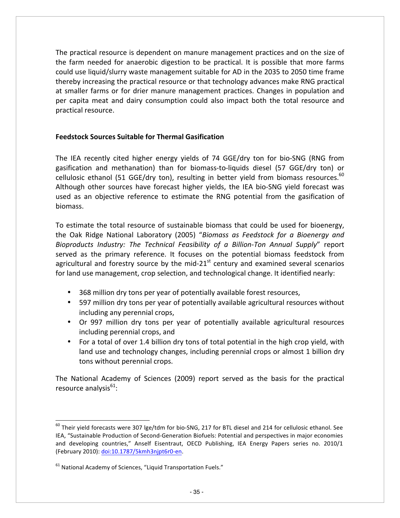The practical resource is dependent on manure management practices and on the size of the farm needed for anaerobic digestion to be practical. It is possible that more farms could use liquid/slurry waste management suitable for AD in the 2035 to 2050 time frame thereby increasing the practical resource or that technology advances make RNG practical at smaller farms or for drier manure management practices. Changes in population and per capita meat and dairy consumption could also impact both the total resource and practical resource.

#### **Feedstock Sources Suitable for Thermal Gasification**

The IEA recently cited higher energy yields of 74 GGE/dry ton for bio-SNG (RNG from gasification and methanation) than for biomass-to-liquids diesel (57 GGE/dry ton) or cellulosic ethanol (51 GGE/dry ton), resulting in better yield from biomass resources.<sup>60</sup> Although other sources have forecast higher yields, the IEA bio-SNG yield forecast was used as an objective reference to estimate the RNG potential from the gasification of biomass.

To estimate the total resource of sustainable biomass that could be used for bioenergy, the Oak Ridge National Laboratory (2005) "Biomass as Feedstock for a Bioenergy and Bioproducts Industry: The Technical Feasibility of a Billion-Ton Annual Supply" report served as the primary reference. It focuses on the potential biomass feedstock from agricultural and forestry source by the mid-21 $<sup>st</sup>$  century and examined several scenarios</sup> for land use management, crop selection, and technological change. It identified nearly:

- 368 million dry tons per year of potentially available forest resources,
- 597 million dry tons per year of potentially available agricultural resources without including any perennial crops,
- Or 997 million dry tons per year of potentially available agricultural resources including perennial crops, and
- For a total of over 1.4 billion dry tons of total potential in the high crop yield, with land use and technology changes, including perennial crops or almost 1 billion dry tons without perennial crops.

The National Academy of Sciences (2009) report served as the basis for the practical resource analysis<sup>61</sup>:

 $^{60}$  Their yield forecasts were 307 lge/tdm for bio-SNG, 217 for BTL diesel and 214 for cellulosic ethanol. See IEA, "Sustainable Production of Second-Generation Biofuels: Potential and perspectives in major economies and developing countries," Anself Eisentraut, OECD Publishing, IEA Energy Papers series no. 2010/1 (February 2010): doi:10.1787/5kmh3njpt6r0-en.

 $61$  National Academy of Sciences, "Liquid Transportation Fuels."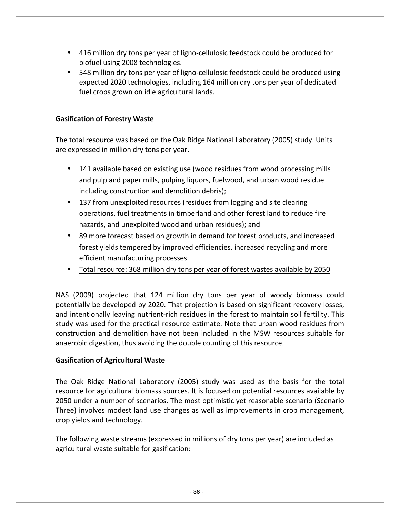- 416 million dry tons per year of ligno-cellulosic feedstock could be produced for biofuel using 2008 technologies.
- 548 million dry tons per year of ligno-cellulosic feedstock could be produced using expected 2020 technologies, including 164 million dry tons per year of dedicated fuel crops grown on idle agricultural lands.

#### **Gasification of Forestry Waste**

The total resource was based on the Oak Ridge National Laboratory (2005) study. Units are expressed in million dry tons per year.

- 141 available based on existing use (wood residues from wood processing mills and pulp and paper mills, pulping liquors, fuelwood, and urban wood residue including construction and demolition debris);
- 137 from unexploited resources (residues from logging and site clearing operations, fuel treatments in timberland and other forest land to reduce fire hazards, and unexploited wood and urban residues); and
- 89 more forecast based on growth in demand for forest products, and increased forest yields tempered by improved efficiencies, increased recycling and more efficient manufacturing processes.
- Total resource: 368 million dry tons per year of forest wastes available by 2050

NAS (2009) projected that 124 million dry tons per year of woody biomass could potentially be developed by 2020. That projection is based on significant recovery losses, and intentionally leaving nutrient-rich residues in the forest to maintain soil fertility. This study was used for the practical resource estimate. Note that urban wood residues from construction and demolition have not been included in the MSW resources suitable for anaerobic digestion, thus avoiding the double counting of this resource.

#### **Gasification of Agricultural Waste**

The Oak Ridge National Laboratory (2005) study was used as the basis for the total resource for agricultural biomass sources. It is focused on potential resources available by 2050 under a number of scenarios. The most optimistic yet reasonable scenario (Scenario Three) involves modest land use changes as well as improvements in crop management, crop yields and technology.

The following waste streams (expressed in millions of dry tons per year) are included as agricultural waste suitable for gasification: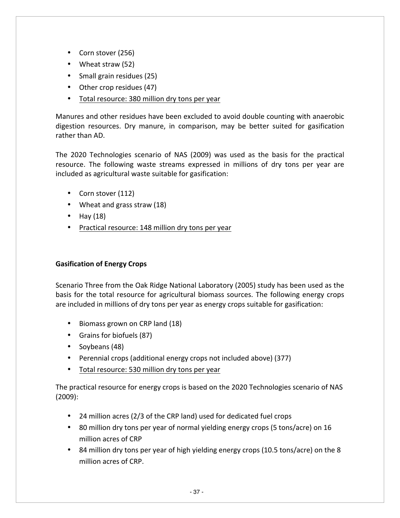- Corn stover (256)
- Wheat straw (52)
- Small grain residues (25)
- Other crop residues (47)
- Total resource: 380 million dry tons per year

Manures and other residues have been excluded to avoid double counting with anaerobic digestion resources. Dry manure, in comparison, may be better suited for gasification rather than AD.

The 2020 Technologies scenario of NAS (2009) was used as the basis for the practical resource. The following waste streams expressed in millions of dry tons per year are included as agricultural waste suitable for gasification:

- Corn stover (112)
- Wheat and grass straw (18)
- Hay  $(18)$
- Practical resource: 148 million dry tons per year

#### **Gasification of Energy Crops**

Scenario Three from the Oak Ridge National Laboratory (2005) study has been used as the basis for the total resource for agricultural biomass sources. The following energy crops are included in millions of dry tons per year as energy crops suitable for gasification:

- Biomass grown on CRP land (18)
- Grains for biofuels (87)
- Soybeans  $(48)$
- Perennial crops (additional energy crops not included above) (377)
- Total resource: 530 million dry tons per year

The practical resource for energy crops is based on the 2020 Technologies scenario of NAS (2009):

- 24 million acres (2/3 of the CRP land) used for dedicated fuel crops
- 80 million dry tons per year of normal yielding energy crops (5 tons/acre) on 16 million acres of CRP
- 84 million dry tons per year of high yielding energy crops (10.5 tons/acre) on the 8 million acres of CRP.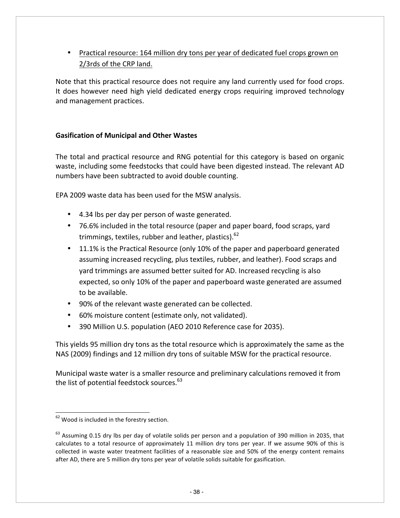• Practical resource: 164 million dry tons per year of dedicated fuel crops grown on 2/3rds of the CRP land.

Note that this practical resource does not require any land currently used for food crops. It does however need high yield dedicated energy crops requiring improved technology and management practices.

#### **Gasification of Municipal and Other Wastes**

The total and practical resource and RNG potential for this category is based on organic waste, including some feedstocks that could have been digested instead. The relevant AD numbers have been subtracted to avoid double counting.

EPA 2009 waste data has been used for the MSW analysis.

- 4.34 lbs per day per person of waste generated.
- 76.6% included in the total resource (paper and paper board, food scraps, yard trimmings, textiles, rubber and leather, plastics).<sup>62</sup>
- 11.1% is the Practical Resource (only 10% of the paper and paperboard generated assuming increased recycling, plus textiles, rubber, and leather). Food scraps and yard trimmings are assumed better suited for AD. Increased recycling is also expected, so only 10% of the paper and paperboard waste generated are assumed to be available.
- 90% of the relevant waste generated can be collected.
- 60% moisture content (estimate only, not validated).
- 390 Million U.S. population (AEO 2010 Reference case for 2035).

This yields 95 million dry tons as the total resource which is approximately the same as the NAS (2009) findings and 12 million dry tons of suitable MSW for the practical resource.

Municipal waste water is a smaller resource and preliminary calculations removed it from the list of potential feedstock sources. $63$ 

 $62$  Wood is included in the forestry section.

 $63$  Assuming 0.15 dry lbs per day of volatile solids per person and a population of 390 million in 2035, that calculates to a total resource of approximately 11 million dry tons per year. If we assume 90% of this is collected in waste water treatment facilities of a reasonable size and 50% of the energy content remains after AD, there are 5 million dry tons per year of volatile solids suitable for gasification.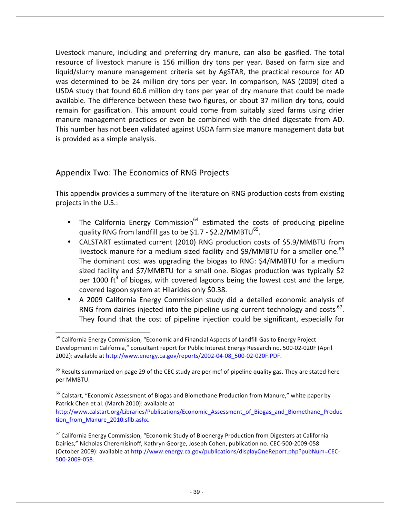Livestock manure, including and preferring dry manure, can also be gasified. The total resource of livestock manure is 156 million dry tons per year. Based on farm size and liquid/slurry manure management criteria set by AgSTAR, the practical resource for AD was determined to be 24 million dry tons per year. In comparison, NAS (2009) cited a USDA study that found 60.6 million dry tons per year of dry manure that could be made available. The difference between these two figures, or about 37 million dry tons, could remain for gasification. This amount could come from suitably sized farms using drier manure management practices or even be combined with the dried digestate from AD. This number has not been validated against USDA farm size manure management data but is provided as a simple analysis.

#### Appendix Two: The Economics of RNG Projects

This appendix provides a summary of the literature on RNG production costs from existing projects in the U.S.:

- The California Energy Commission<sup>64</sup> estimated the costs of producing pipeline quality RNG from landfill gas to be  $$1.7 - $2.2/MMBTU<sup>65</sup>$ .
- CALSTART estimated current (2010) RNG production costs of \$5.9/MMBTU from livestock manure for a medium sized facility and \$9/MMBTU for a smaller one.<sup>66</sup> The dominant cost was upgrading the biogas to RNG:  $$4/MMBTU$  for a medium sized facility and \$7/MMBTU for a small one. Biogas production was typically \$2 per 1000  $ft^3$  of biogas, with covered lagoons being the lowest cost and the large, covered lagoon system at Hilarides only \$0.38.
- A 2009 California Energy Commission study did a detailed economic analysis of RNG from dairies injected into the pipeline using current technology and costs<sup>.67</sup>. They found that the cost of pipeline injection could be significant, especially for

http://www.calstart.org/Libraries/Publications/Economic\_Assessment\_of\_Biogas\_and\_Biomethane\_Produc tion from Manure 2010.sflb.ashx.

 $64$  California Energy Commission, "Economic and Financial Aspects of Landfill Gas to Energy Project Development in California," consultant report for Public Interest Energy Research no. 500-02-020F (April 2002): available at http://www.energy.ca.gov/reports/2002-04-08\_500-02-020F.PDF.

 $65$  Results summarized on page 29 of the CEC study are per mcf of pipeline quality gas. They are stated here per MMBTU.

 $66$  Calstart, "Economic Assessment of Biogas and Biomethane Production from Manure," white paper by Patrick Chen et al. (March 2010): available at

 $67$  California Energy Commission, "Economic Study of Bioenergy Production from Digesters at California Dairies," Nicholas Cheremisinoff, Kathryn George, Joseph Cohen, publication no. CEC-500-2009-058 (October 2009): available at http://www.energy.ca.gov/publications/displayOneReport.php?pubNum=CEC-500-2009-058.